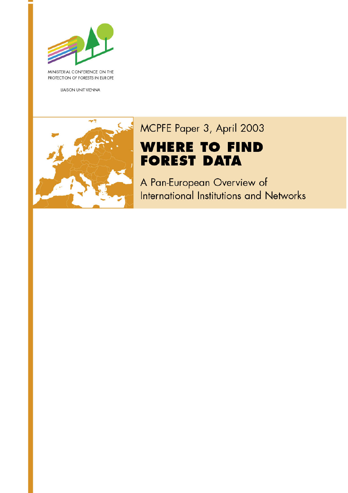

MINISTERIAL CONFERENCE ON THE PROTECTION OF FORESTS IN EUROPE

LIAISON UNIT VIENNA



# MCPFE Paper 3, April 2003 **WHERE TO FIND FOREST DATA**

A Pan-European Overview of International Institutions and Networks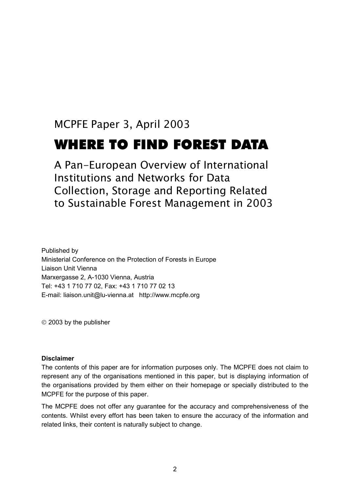# MCPFE Paper 3, April 2003 WHERE TO FIND FOREST DATA

# A Pan-European Overview of International Institutions and Networks for Data Collection, Storage and Reporting Related to Sustainable Forest Management in 2003

Published by Ministerial Conference on the Protection of Forests in Europe Liaison Unit Vienna Marxergasse 2, A-1030 Vienna, Austria Tel: +43 1 710 77 02, Fax: +43 1 710 77 02 13 E-mail: liaison.unit@lu-vienna.at http://www.mcpfe.org

2003 by the publisher

#### **Disclaimer**

The contents of this paper are for information purposes only. The MCPFE does not claim to represent any of the organisations mentioned in this paper, but is displaying information of the organisations provided by them either on their homepage or specially distributed to the MCPFE for the purpose of this paper.

The MCPFE does not offer any guarantee for the accuracy and comprehensiveness of the contents. Whilst every effort has been taken to ensure the accuracy of the information and related links, their content is naturally subject to change.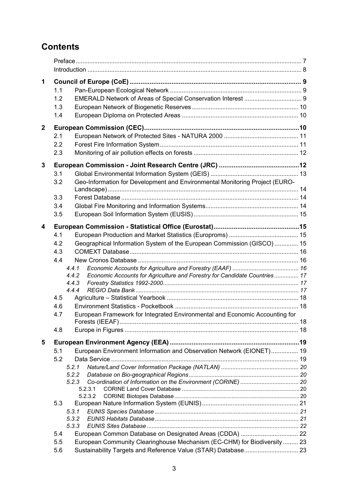# **Contents**

| 1            |     |                                                                                    |  |
|--------------|-----|------------------------------------------------------------------------------------|--|
|              | 1.1 |                                                                                    |  |
|              | 1.2 |                                                                                    |  |
|              | 1.3 |                                                                                    |  |
|              |     |                                                                                    |  |
|              | 1.4 |                                                                                    |  |
| $\mathbf{2}$ |     |                                                                                    |  |
|              | 2.1 |                                                                                    |  |
|              | 2.2 |                                                                                    |  |
|              | 2.3 |                                                                                    |  |
| 3            |     |                                                                                    |  |
|              | 3.1 |                                                                                    |  |
|              | 3.2 | Geo-Information for Development and Environmental Monitoring Project (EURO-        |  |
|              |     |                                                                                    |  |
|              | 3.3 |                                                                                    |  |
|              | 3.4 |                                                                                    |  |
|              | 3.5 |                                                                                    |  |
|              |     |                                                                                    |  |
| 4            |     |                                                                                    |  |
|              | 4.1 |                                                                                    |  |
|              | 4.2 | Geographical Information System of the European Commission (GISCO)  15             |  |
|              | 4.3 |                                                                                    |  |
|              | 4.4 |                                                                                    |  |
|              |     | 4.4.1                                                                              |  |
|              |     | Economic Accounts for Agriculture and Forestry for Candidate Countries 17<br>4.4.2 |  |
|              |     | 4.4.3                                                                              |  |
|              |     | 4.4.4                                                                              |  |
|              | 4.5 |                                                                                    |  |
|              | 4.6 |                                                                                    |  |
|              | 4.7 | European Framework for Integrated Environmental and Economic Accounting for        |  |
|              | 4.8 |                                                                                    |  |
| 5            |     |                                                                                    |  |
|              | 5.1 | European Environment Information and Observation Network (EIONET) 19               |  |
|              | 5.2 |                                                                                    |  |
|              |     | 5.2.1                                                                              |  |
|              |     | 5.2.2                                                                              |  |
|              |     | 5.2.3                                                                              |  |
|              |     | 5.2.3.1                                                                            |  |
|              |     | 5.2.3.2                                                                            |  |
|              | 5.3 |                                                                                    |  |
|              |     | 5.3.1                                                                              |  |
|              |     | 5.3.2                                                                              |  |
|              |     | 5.3.3                                                                              |  |
|              | 5.4 |                                                                                    |  |
|              | 5.5 | European Community Clearinghouse Mechanism (EC-CHM) for Biodiversity  23           |  |
|              | 5.6 |                                                                                    |  |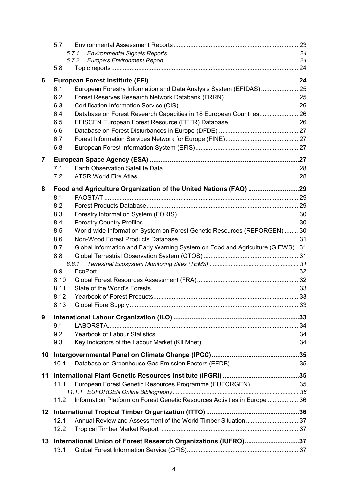|    | 5.7   |                                                                                |  |
|----|-------|--------------------------------------------------------------------------------|--|
|    | 5.7.1 |                                                                                |  |
|    | 5.7.2 |                                                                                |  |
|    | 5.8   |                                                                                |  |
| 6  |       |                                                                                |  |
|    | 6.1   | European Forestry Information and Data Analysis System (EFIDAS) 25             |  |
|    | 6.2   |                                                                                |  |
|    | 6.3   |                                                                                |  |
|    | 6.4   | Database on Forest Research Capacities in 18 European Countries 26             |  |
|    | 6.5   |                                                                                |  |
|    | 6.6   |                                                                                |  |
|    | 6.7   |                                                                                |  |
|    | 6.8   |                                                                                |  |
|    |       |                                                                                |  |
| 7  |       |                                                                                |  |
|    | 7.1   |                                                                                |  |
|    | 7.2   |                                                                                |  |
| 8  |       | Food and Agriculture Organization of the United Nations (FAO) 29               |  |
|    | 8.1   |                                                                                |  |
|    | 8.2   |                                                                                |  |
|    | 8.3   |                                                                                |  |
|    | 8.4   |                                                                                |  |
|    | 8.5   | World-wide Information System on Forest Genetic Resources (REFORGEN)  30       |  |
|    | 8.6   |                                                                                |  |
|    | 8.7   | Global Information and Early Warning System on Food and Agriculture (GIEWS) 31 |  |
|    | 8.8   |                                                                                |  |
|    | 8.8.1 |                                                                                |  |
|    | 8.9   |                                                                                |  |
|    | 8.10  |                                                                                |  |
|    | 8.11  |                                                                                |  |
|    | 8.12  |                                                                                |  |
|    | 8.13  |                                                                                |  |
| 9  |       |                                                                                |  |
|    | 9.1   |                                                                                |  |
|    | 9.2   |                                                                                |  |
|    | 9.3   |                                                                                |  |
|    |       |                                                                                |  |
| 10 |       |                                                                                |  |
|    | 10.1  |                                                                                |  |
| 11 |       |                                                                                |  |
|    | 11.1  | European Forest Genetic Resources Programme (EUFORGEN)  35                     |  |
|    |       |                                                                                |  |
|    | 11.2  | Information Platform on Forest Genetic Resources Activities in Europe  36      |  |
| 12 |       |                                                                                |  |
|    | 12.1  |                                                                                |  |
|    | 12.2  |                                                                                |  |
|    |       |                                                                                |  |
| 13 |       | International Union of Forest Research Organizations (IUFRO)37                 |  |
|    | 13.1  |                                                                                |  |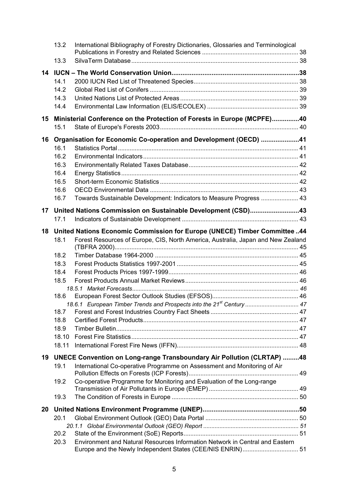|    | 13.2  | International Bibliography of Forestry Dictionaries, Glossaries and Terminological |  |
|----|-------|------------------------------------------------------------------------------------|--|
|    | 13.3  |                                                                                    |  |
| 14 |       |                                                                                    |  |
|    | 14.1  |                                                                                    |  |
|    | 14.2  |                                                                                    |  |
|    | 14.3  |                                                                                    |  |
|    | 14.4  |                                                                                    |  |
| 15 |       | Ministerial Conference on the Protection of Forests in Europe (MCPFE)40            |  |
|    | 15.1  |                                                                                    |  |
| 16 |       | Organisation for Economic Co-operation and Development (OECD) 41                   |  |
|    | 16.1  |                                                                                    |  |
|    | 16.2  |                                                                                    |  |
|    | 16.3  |                                                                                    |  |
|    | 16.4  |                                                                                    |  |
|    | 16.5  |                                                                                    |  |
|    | 16.6  |                                                                                    |  |
|    | 16.7  | Towards Sustainable Development: Indicators to Measure Progress  43                |  |
| 17 |       | United Nations Commission on Sustainable Development (CSD)43                       |  |
|    | 17.1  |                                                                                    |  |
| 18 |       | United Nations Economic Commission for Europe (UNECE) Timber Committee44           |  |
|    | 18.1  | Forest Resources of Europe, CIS, North America, Australia, Japan and New Zealand   |  |
|    | 18.2  |                                                                                    |  |
|    | 18.3  |                                                                                    |  |
|    | 18.4  |                                                                                    |  |
|    | 18.5  |                                                                                    |  |
|    |       |                                                                                    |  |
|    | 18.6  |                                                                                    |  |
|    | 18.7  | 18.6.1 European Timber Trends and Prospects into the 21 <sup>st</sup> Century  47  |  |
|    | 18.8  |                                                                                    |  |
|    | 18.9  |                                                                                    |  |
|    | 18.10 |                                                                                    |  |
|    | 18.11 |                                                                                    |  |
| 19 |       | UNECE Convention on Long-range Transboundary Air Pollution (CLRTAP) 48             |  |
|    | 19.1  | International Co-operative Programme on Assessment and Monitoring of Air           |  |
|    | 19.2  | Co-operative Programme for Monitoring and Evaluation of the Long-range             |  |
|    | 19.3  |                                                                                    |  |
| 20 |       |                                                                                    |  |
|    | 20.1  |                                                                                    |  |
|    |       |                                                                                    |  |
|    | 20.2  |                                                                                    |  |
|    | 20.3  | Environment and Natural Resources Information Network in Central and Eastern       |  |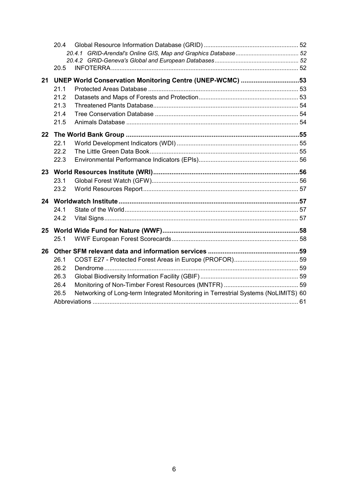|    | 20.4 |                                                                                    |  |
|----|------|------------------------------------------------------------------------------------|--|
|    |      |                                                                                    |  |
|    |      |                                                                                    |  |
|    | 20.5 |                                                                                    |  |
| 21 |      | UNEP World Conservation Monitoring Centre (UNEP-WCMC) 53                           |  |
|    | 21.1 |                                                                                    |  |
|    | 21.2 |                                                                                    |  |
|    | 21.3 |                                                                                    |  |
|    | 21.4 |                                                                                    |  |
|    | 21.5 |                                                                                    |  |
| 22 |      |                                                                                    |  |
|    | 22.1 |                                                                                    |  |
|    | 22.2 |                                                                                    |  |
|    | 22.3 |                                                                                    |  |
| 23 |      |                                                                                    |  |
|    | 23.1 |                                                                                    |  |
|    | 23.2 |                                                                                    |  |
|    |      |                                                                                    |  |
| 24 |      |                                                                                    |  |
|    | 24.1 |                                                                                    |  |
|    | 24.2 |                                                                                    |  |
| 25 |      |                                                                                    |  |
|    | 25.1 |                                                                                    |  |
| 26 |      |                                                                                    |  |
|    | 26.1 |                                                                                    |  |
|    | 26.2 |                                                                                    |  |
|    | 26.3 |                                                                                    |  |
|    | 26.4 |                                                                                    |  |
|    | 26.5 | Networking of Long-term Integrated Monitoring in Terrestrial Systems (NoLIMITS) 60 |  |
|    |      |                                                                                    |  |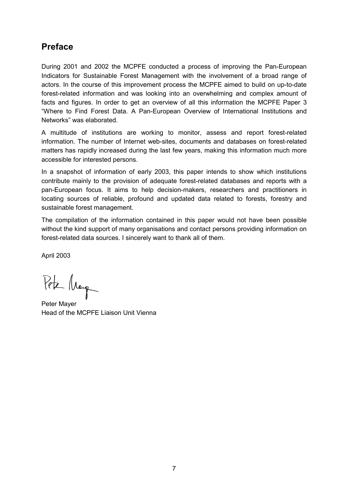### <span id="page-6-0"></span>**Preface**

During 2001 and 2002 the MCPFE conducted a process of improving the Pan-European Indicators for Sustainable Forest Management with the involvement of a broad range of actors. In the course of this improvement process the MCPFE aimed to build on up-to-date forest-related information and was looking into an overwhelming and complex amount of facts and figures. In order to get an overview of all this information the MCPFE Paper 3 "Where to Find Forest Data. A Pan-European Overview of International Institutions and Networks" was elaborated.

A multitude of institutions are working to monitor, assess and report forest-related information. The number of Internet web-sites, documents and databases on forest-related matters has rapidly increased during the last few years, making this information much more accessible for interested persons.

In a snapshot of information of early 2003, this paper intends to show which institutions contribute mainly to the provision of adequate forest-related databases and reports with a pan-European focus. It aims to help decision-makers, researchers and practitioners in locating sources of reliable, profound and updated data related to forests, forestry and sustainable forest management.

The compilation of the information contained in this paper would not have been possible without the kind support of many organisations and contact persons providing information on forest-related data sources. I sincerely want to thank all of them.

April 2003

Peter Marge

Peter Mayer Head of the MCPFE Liaison Unit Vienna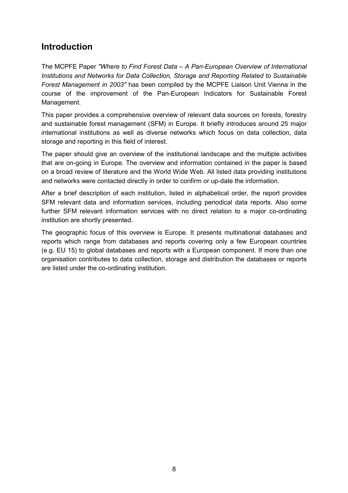### <span id="page-7-0"></span>**Introduction**

The MCPFE Paper *"Where to Find Forest Data – A Pan-European Overview of International Institutions and Networks for Data Collection, Storage and Reporting Related to Sustainable Forest Management in 2003"* has been compiled by the MCPFE Liaison Unit Vienna in the course of the improvement of the Pan-European Indicators for Sustainable Forest Management.

This paper provides a comprehensive overview of relevant data sources on forests, forestry and sustainable forest management (SFM) in Europe. It briefly introduces around 25 major international institutions as well as diverse networks which focus on data collection, data storage and reporting in this field of interest.

The paper should give an overview of the institutional landscape and the multiple activities that are on-going in Europe. The overview and information contained in the paper is based on a broad review of literature and the World Wide Web. All listed data providing institutions and networks were contacted directly in order to confirm or up-date the information.

After a brief description of each institution, listed in alphabetical order, the report provides SFM relevant data and information services, including periodical data reports. Also some further SFM relevant information services with no direct relation to a major co-ordinating institution are shortly presented.

The geographic focus of this overview is Europe. It presents multinational databases and reports which range from databases and reports covering only a few European countries (e.g. EU 15) to global databases and reports with a European component. If more than one organisation contributes to data collection, storage and distribution the databases or reports are listed under the co-ordinating institution.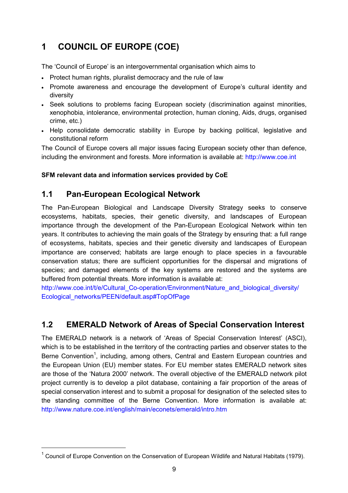# <span id="page-8-0"></span>**1 COUNCIL OF EUROPE (COE)**

The 'Council of Europe' is an intergovernmental organisation which aims to

- Protect human rights, pluralist democracy and the rule of law
- Promote awareness and encourage the development of Europe's cultural identity and diversity
- Seek solutions to problems facing European society (discrimination against minorities, xenophobia, intolerance, environmental protection, human cloning, Aids, drugs, organised crime, etc.)
- Help consolidate democratic stability in Europe by backing political, legislative and constitutional reform

The Council of Europe covers all major issues facing European society other than defence, including the environment and forests. More information is available at: http://www.coe.int

#### **SFM relevant data and information services provided by CoE**

### <span id="page-8-1"></span>**1.1 Pan-European Ecological Network**

The Pan-European Biological and Landscape Diversity Strategy seeks to conserve ecosystems, habitats, species, their genetic diversity, and landscapes of European importance through the development of the Pan-European Ecological Network within ten years. It contributes to achieving the main goals of the Strategy by ensuring that: a full range of ecosystems, habitats, species and their genetic diversity and landscapes of European importance are conserved; habitats are large enough to place species in a favourable conservation status; there are sufficient opportunities for the dispersal and migrations of species; and damaged elements of the key systems are restored and the systems are buffered from potential threats. More information is available at:

http://www.coe.int/t/e/Cultural\_Co-operation/Environment/Nature\_and\_biological\_diversity/ Ecological\_networks/PEEN/default.asp#TopOfPage

### <span id="page-8-2"></span>**1.2 EMERALD Network of Areas of Special Conservation Interest**

The EMERALD network is a network of 'Areas of Special Conservation Interest' (ASCI), which is to be established in the territory of the contracting parties and observer states to the Berne Convention<sup>1</sup>, including, among others, Central and Eastern European countries and the European Union (EU) member states. For EU member states EMERALD network sites are those of the 'Natura 2000' network. The overall objective of the EMERALD network pilot project currently is to develop a pilot database, containing a fair proportion of the areas of special conservation interest and to submit a proposal for designation of the selected sites to the standing committee of the Berne Convention. More information is available at: <http://www.nature.coe.int/english/main/econets/emerald/intro.htm>

<span id="page-8-3"></span> $1$  Council of Europe Convention on the Conservation of European Wildlife and Natural Habitats (1979).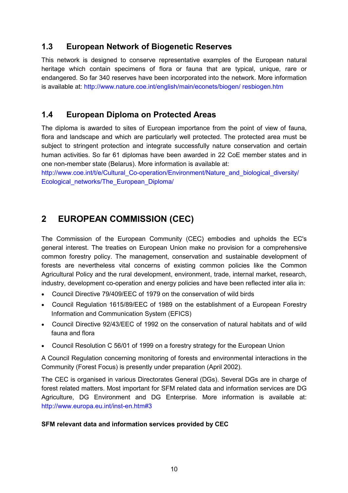### <span id="page-9-0"></span>**1.3 European Network of Biogenetic Reserves**

This network is designed to conserve representative examples of the European natural heritage which contain specimens of flora or fauna that are typical, unique, rare or endangered. So far 340 reserves have been incorporated into the network. More information is available at: http://www.nature.coe.int/english/main/econets/biogen/ resbiogen.htm

### <span id="page-9-1"></span>**1.4 European Diploma on Protected Areas**

The diploma is awarded to sites of European importance from the point of view of fauna, flora and landscape and which are particularly well protected. The protected area must be subject to stringent protection and integrate successfully nature conservation and certain human activities. So far 61 diplomas have been awarded in 22 CoE member states and in one non-member state (Belarus). More information is available at:

http://www.coe.int/t/e/Cultural\_Co-operation/Environment/Nature\_and\_biological\_diversity/ Ecological\_networks/The\_European\_Diploma/

### <span id="page-9-2"></span>**2 EUROPEAN COMMISSION (CEC)**

The Commission of the European Community (CEC) embodies and upholds the EC's general interest. The treaties on European Union make no provision for a comprehensive common forestry policy. The management, conservation and sustainable development of forests are nevertheless vital concerns of existing common policies like the Common Agricultural Policy and the rural development, environment, trade, internal market, research, industry, development co-operation and energy policies and have been reflected inter alia in:

- Council Directive 79/409/EEC of 1979 on the conservation of wild birds
- Council Regulation 1615/89/EEC of 1989 on the establishment of a European Forestry Information and Communication System (EFICS)
- Council Directive 92/43/EEC of 1992 on the conservation of natural habitats and of wild fauna and flora
- Council Resolution C 56/01 of 1999 on a forestry strategy for the European Union

A Council Regulation concerning monitoring of forests and environmental interactions in the Community (Forest Focus) is presently under preparation (April 2002).

The CEC is organised in various Directorates General (DGs). Several DGs are in charge of forest related matters. Most important for SFM related data and information services are DG Agriculture, DG Environment and DG Enterprise. More information is available at: http://www.europa.eu.int/inst-en.htm#3

#### **SFM relevant data and information services provided by CEC**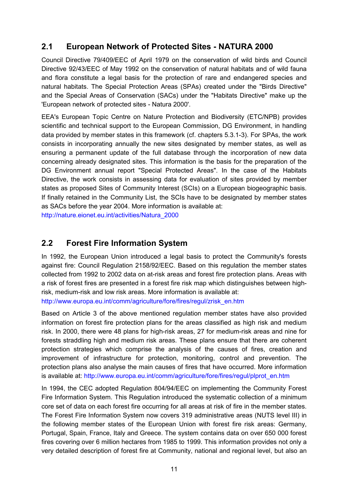### <span id="page-10-0"></span>**2.1 European Network of Protected Sites - NATURA 2000**

Council Directive 79/409/EEC of April 1979 on the conservation of wild birds and Council Directive 92/43/EEC of May 1992 on the conservation of natural habitats and of wild fauna and flora constitute a legal basis for the protection of rare and endangered species and natural habitats. The Special Protection Areas (SPAs) created under the "Birds Directive" and the Special Areas of Conservation (SACs) under the "Habitats Directive" make up the 'European network of protected sites - Natura 2000'.

EEA's European Topic Centre on Nature Protection and Biodiversity (ETC/NPB) provides scientific and technical support to the European Commission, DG Environment, in handling data provided by member states in this framework (cf. chapters 5.3.1-3). For SPAs, the work consists in incorporating annually the new sites designated by member states, as well as ensuring a permanent update of the full database through the incorporation of new data concerning already designated sites. This information is the basis for the preparation of the DG Environment annual report "Special Protected Areas". In the case of the Habitats Directive, the work consists in assessing data for evaluation of sites provided by member states as proposed Sites of Community Interest (SCIs) on a European biogeographic basis. If finally retained in the Community List, the SCIs have to be designated by member states as SACs before the year 2004. More information is available at:

http://nature.eionet.eu.int/activities/Natura\_2000

### <span id="page-10-1"></span>**2.2 Forest Fire Information System**

In 1992, the European Union introduced a legal basis to protect the Community's forests against fire: Council Regulation 2158/92/EEC. Based on this regulation the member states collected from 1992 to 2002 data on at-risk areas and forest fire protection plans. Areas with a risk of forest fires are presented in a forest fire risk map which distinguishes between highrisk, medium-risk and low risk areas*.* More information is available at:

http://www.europa.eu.int/comm/agriculture/fore/fires/regul/zrisk\_en.htm

Based on Article 3 of the above mentioned regulation member states have also provided information on forest fire protection plans for the areas classified as high risk and medium risk. In 2000, there were 48 plans for high-risk areas, 27 for medium-risk areas and nine for forests straddling high and medium risk areas. These plans ensure that there are coherent protection strategies which comprise the analysis of the causes of fires, creation and improvement of infrastructure for protection, monitoring, control and prevention. The protection plans also analyse the main causes of fires that have occurred. More information is available at: http://www.europa.eu.int/comm/agriculture/fore/fires/regul/plprot\_en.htm

In 1994, the CEC adopted Regulation 804/94/EEC on implementing the Community Forest Fire Information System. This Regulation introduced the systematic collection of a minimum core set of data on each forest fire occurring for all areas at risk of fire in the member states. The Forest Fire Information System now covers 319 administrative areas (NUTS level III) in the following member states of the European Union with forest fire risk areas: Germany, Portugal, Spain, France, Italy and Greece. The system contains data on over 650 000 forest fires covering over 6 million hectares from 1985 to 1999. This information provides not only a very detailed description of forest fire at Community, national and regional level, but also an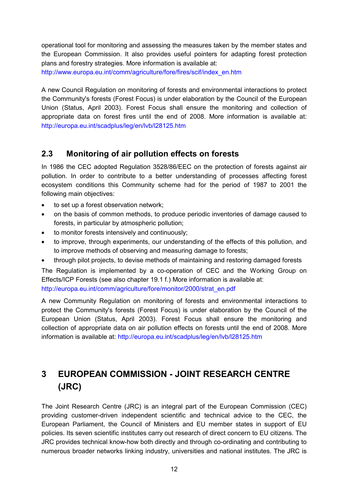operational tool for monitoring and assessing the measures taken by the member states and the European Commission. It also provides useful pointers for adapting forest protection plans and forestry strategies. More information is available at: http://www.europa.eu.int/comm/agriculture/fore/fires/scif/index\_en.htm

A new Council Regulation on monitoring of forests and environmental interactions to protect the Community's forests (Forest Focus) is under elaboration by the Council of the European Union (Status, April 2003). Forest Focus shall ensure the monitoring and collection of appropriate data on forest fires until the end of 2008. More information is available at: http://europa.eu.int/scadplus/leg/en/lvb/l28125.htm

### <span id="page-11-0"></span>**2.3 Monitoring of air pollution effects on forests**

In 1986 the CEC adopted Regulation 3528/86/EEC on the protection of forests against air pollution. In order to contribute to a better understanding of processes affecting forest ecosystem conditions this Community scheme had for the period of 1987 to 2001 the following main objectives:

- to set up a forest observation network;
- $\bullet$  on the basis of common methods, to produce periodic inventories of damage caused to forests, in particular by atmospheric pollution;
- $\bullet$ to monitor forests intensively and continuously;
- $\bullet$  to improve, through experiments, our understanding of the effects of this pollution, and to improve methods of observing and measuring damage to forests;
- $\bullet$ through pilot projects, to devise methods of maintaining and restoring damaged forests

The Regulation is implemented by a co-operation of CEC and the Working Group on Effects/ICP Forests (see also chapter 19.1 f.) More information is available at: http://europa.eu.int/comm/agriculture/fore/monitor/2000/strat\_en.pdf

A new Community Regulation on monitoring of forests and environmental interactions to protect the Community's forests (Forest Focus) is under elaboration by the Council of the European Union (Status, April 2003). Forest Focus shall ensure the monitoring and collection of appropriate data on air pollution effects on forests until the end of 2008. More information is available at: http://europa.eu.int/scadplus/leg/en/lvb/l28125.htm

# <span id="page-11-1"></span>**3 EUROPEAN COMMISSION - JOINT RESEARCH CENTRE (JRC)**

The Joint Research Centre (JRC) is an integral part of the European Commission (CEC) providing customer-driven independent scientific and technical advice to the CEC, the European Parliament, the Council of Ministers and EU member states in support of EU policies. Its seven scientific institutes carry out research of direct concern to EU citizens. The JRC provides technical know-how both directly and through co-ordinating and contributing to numerous broader networks linking industry, universities and national institutes. The JRC is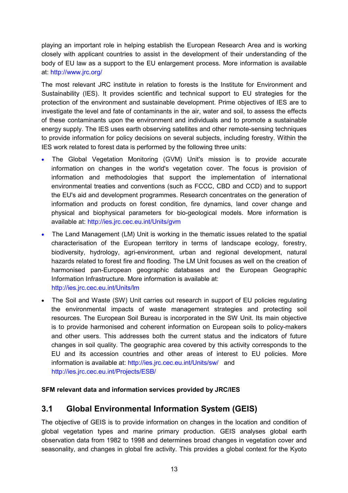playing an important role in helping establish the European Research Area and is working closely with applicant countries to assist in the development of their understanding of the body of EU law as a support to the EU enlargement process. More information is available at: http://www.jrc.org/

The most relevant JRC institute in relation to forests is the Institute for Environment and Sustainability (IES). It provides scientific and technical support to EU strategies for the protection of the environment and sustainable development. Prime objectives of IES are to investigate the level and fate of contaminants in the air, water and soil, to assess the effects of these contaminants upon the environment and individuals and to promote a sustainable energy supply. The IES uses earth observing satellites and other remote-sensing techniques to provide information for policy decisions on several subjects, including forestry. Within the IES work related to forest data is performed by the following three units:

- The Global Vegetation Monitoring (GVM) Unit's mission is to provide accurate information on changes in the world's vegetation cover. The focus is provision of information and methodologies that support the implementation of international environmental treaties and conventions (such as FCCC, CBD and CCD) and to support the EU's aid and development programmes. Research concentrates on the generation of information and products on forest condition, fire dynamics, land cover change and physical and biophysical parameters for bio-geological models. More information is available at: http://ies.jrc.cec.eu.int/Units/gvm
- The Land Management (LM) Unit is working in the thematic issues related to the spatial characterisation of the European territory in terms of landscape ecology, forestry, biodiversity, hydrology, agri-environment, urban and regional development, natural hazards related to forest fire and flooding. The LM Unit focuses as well on the creation of harmonised pan-European geographic databases and the European Geographic Information Infrastructure. More information is available at: http://ies.jrc.cec.eu.int/Units/lm
- The Soil and Waste (SW) Unit carries out research in support of EU policies regulating the environmental impacts of waste management strategies and protecting soil resources. The European Soil Bureau is incorporated in the SW Unit. Its main objective is to provide harmonised and coherent information on European soils to policy-makers and other users. This addresses both the current status and the indicators of future changes in soil quality. The geographic area covered by this activity corresponds to the EU and its accession countries and other areas of interest to EU policies. More information is available at: http://ies.jrc.cec.eu.int/Units/sw/ and http://ies.jrc.cec.eu.int/Projects/ESB/

#### **SFM relevant data and information services provided by JRC/IES**

### <span id="page-12-0"></span>**3.1 Global Environmental Information System (GEIS)**

The objective of GEIS is to provide information on changes in the location and condition of global vegetation types and marine primary production. GEIS analyses global earth observation data from 1982 to 1998 and determines broad changes in vegetation cover and seasonality, and changes in global fire activity. This provides a global context for the Kyoto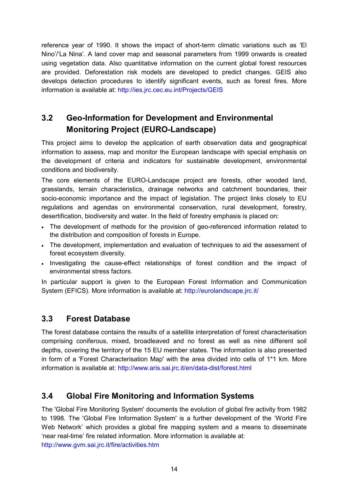reference year of 1990. It shows the impact of short-term climatic variations such as 'El Nino'/'La Nina'. A land cover map and seasonal parameters from 1999 onwards is created using vegetation data. Also quantitative information on the current global forest resources are provided. Deforestation risk models are developed to predict changes. GEIS also develops detection procedures to identify significant events, such as forest fires. More information is available at: http://ies.jrc.cec.eu.int/Projects/GEIS

# <span id="page-13-0"></span>**3.2 Geo-Information for Development and Environmental Monitoring Project (EURO-Landscape)**

This project aims to develop the application of earth observation data and geographical information to assess, map and monitor the European landscape with special emphasis on the development of criteria and indicators for sustainable development, environmental conditions and biodiversity.

The core elements of the EURO-Landscape project are forests, other wooded land, grasslands, terrain characteristics, drainage networks and catchment boundaries, their socio-economic importance and the impact of legislation. The project links closely to EU regulations and agendas on environmental conservation, rural development, forestry, desertification, biodiversity and water. In the field of forestry emphasis is placed on:

- The development of methods for the provision of geo-referenced information related to the distribution and composition of forests in Europe.
- The development, implementation and evaluation of techniques to aid the assessment of forest ecosystem diversity.
- Investigating the cause-effect relationships of forest condition and the impact of environmental stress factors.

In particular support is given to the European Forest Information and Communication System (EFICS). More information is available at: http://eurolandscape.jrc.it/

### <span id="page-13-1"></span>**3.3 Forest Database**

The forest database contains the results of a satellite interpretation of forest characterisation comprising coniferous, mixed, broadleaved and no forest as well as nine different soil depths, covering the territory of the 15 EU member states. The information is also presented in form of a 'Forest Characterisation Map' with the area divided into cells of 1\*1 km. More information is available at: http://www.aris.sai.jrc.it/en/data-dist/forest.html

### <span id="page-13-2"></span>**3.4 Global Fire Monitoring and Information Systems**

The 'Global Fire Monitoring System' documents the evolution of global fire activity from 1982 to 1998. The 'Global Fire Information System' is a further development of the 'World Fire Web Network' which provides a global fire mapping system and a means to disseminate 'near real-time' fire related information. More information is available at: http://www.gvm.sai.jrc.it/fire/activities.htm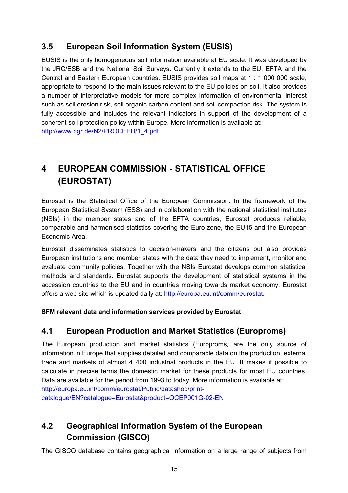### <span id="page-14-0"></span>**3.5 European Soil Information System (EUSIS)**

EUSIS is the only homogeneous soil information available at EU scale. It was developed by the JRC/ESB and the National Soil Surveys. Currently it extends to the EU, EFTA and the Central and Eastern European countries. EUSIS provides soil maps at 1 : 1 000 000 scale, appropriate to respond to the main issues relevant to the EU policies on soil. It also provides a number of interpretative models for more complex information of environmental interest such as soil erosion risk, soil organic carbon content and soil compaction risk. The system is fully accessible and includes the relevant indicators in support of the development of a coherent soil protection policy within Europe. More information is available at: http://www.bgr.de/N2/PROCEED/1\_4.pdf

# <span id="page-14-1"></span>**4 EUROPEAN COMMISSION - STATISTICAL OFFICE (EUROSTAT)**

Eurostat is the Statistical Office of the European Commission. In the framework of the European Statistical System (ESS) and in collaboration with the national statistical institutes (NSIs) in the member states and of the EFTA countries, Eurostat produces reliable, comparable and harmonised statistics covering the Euro-zone, the EU15 and the European Economic Area.

Eurostat disseminates statistics to decision-makers and the citizens but also provides European institutions and member states with the data they need to implement, monitor and evaluate community policies. Together with the NSIs Eurostat develops common statistical methods and standards. Eurostat supports the development of statistical systems in the accession countries to the EU and in countries moving towards market economy. Eurostat offers a web site which is updated daily at: http://europa.eu.int/comm/eurostat.

#### **SFM relevant data and information services provided by Eurostat**

### <span id="page-14-2"></span>**4.1 European Production and Market Statistics (Europroms)**

The European production and market statistics (Europroms*)* are the only source of information in Europe that supplies detailed and comparable data on the production, external trade and markets of almost 4 400 industrial products in the EU. It makes it possible to calculate in precise terms the domestic market for these products for most EU countries. Data are available for the period from 1993 to today. More information is available at: http://europa.eu.int/comm/eurostat/Public/datashop/printcatalogue/EN?catalogue=Eurostat&product=OCEP001G-02-EN

### <span id="page-14-3"></span>**4.2 Geographical Information System of the European Commission (GISCO)**

The GISCO database contains geographical information on a large range of subjects from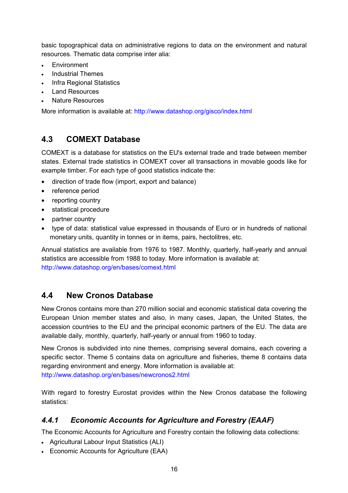basic topographical data on administrative regions to data on the environment and natural resources. Thematic data comprise inter alia:

- Environment
- Industrial Themes
- Infra Regional Statistics
- Land Resources
- Nature Resources

More information is available at: http://www.datashop.org/gisco/index.html

### <span id="page-15-0"></span>**4.3 COMEXT Database**

COMEXT is a database for statistics on the EU's external trade and trade between member states. External trade statistics in COMEXT cover all transactions in movable goods like for example timber. For each type of good statistics indicate the:

- $\bullet$ direction of trade flow (import, export and balance)
- reference period
- reporting country
- statistical procedure
- partner country
- type of data: statistical value expressed in thousands of Euro or in hundreds of national monetary units, quantity in tonnes or in items, pairs, hectolitres, etc.

Annual statistics are available from 1976 to 1987. Monthly, quarterly, half-yearly and annual statistics are accessible from 1988 to today. More information is available at: http://www.datashop.org/en/bases/comext.html

### <span id="page-15-1"></span>**4.4 New Cronos Database**

New Cronos contains more than 270 million social and economic statistical data covering the European Union member states and also, in many cases, Japan, the United States, the accession countries to the EU and the principal economic partners of the EU. The data are available daily, monthly, quarterly, half-yearly or annual from 1960 to today.

New Cronos is subdivided into nine themes, comprising several domains, each covering a specific sector. Theme 5 contains data on agriculture and fisheries, theme 8 contains data regarding environment and energy. More information is available at: http://www.datashop.org/en/bases/newcronos2.html

With regard to forestry Eurostat provides within the New Cronos database the following statistics:

### <span id="page-15-2"></span>*4.4.1 Economic Accounts for Agriculture and Forestry (EAAF)*

The Economic Accounts for Agriculture and Forestry contain the following data collections:

- Agricultural Labour Input Statistics (ALI)
- Economic Accounts for Agriculture (EAA)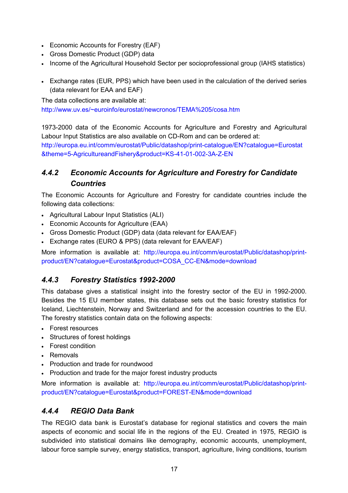- Economic Accounts for Forestry (EAF)
- Gross Domestic Product (GDP) data
- Income of the Agricultural Household Sector per socioprofessional group (IAHS statistics)
- Exchange rates (EUR, PPS) which have been used in the calculation of the derived series (data relevant for EAA and EAF)

The data collections are available at:

http://www.uv.es/~euroinfo/eurostat/newcronos/TEMA%205/cosa.htm

1973-2000 data of the Economic Accounts for Agriculture and Forestry and Agricultural Labour Input Statistics are also available on CD-Rom and can be ordered at: http://europa.eu.int/comm/eurostat/Public/datashop/print-catalogue/EN?catalogue=Eurostat &theme=5-AgricultureandFishery&product=KS-41-01-002-3A-Z-EN

### <span id="page-16-0"></span>*4.4.2 Economic Accounts for Agriculture and Forestry for Candidate Countries*

The Economic Accounts for Agriculture and Forestry for candidate countries include the following data collections:

- Agricultural Labour Input Statistics (ALI)
- Economic Accounts for Agriculture (EAA)
- Gross Domestic Product (GDP) data (data relevant for EAA/EAF)
- Exchange rates (EURO & PPS) (data relevant for EAA/EAF)

More information is available at: http://europa.eu.int/comm/eurostat/Public/datashop/printproduct/EN?catalogue=Eurostat&product=COSA\_CC-EN&mode=download

### <span id="page-16-1"></span>*4.4.3 Forestry Statistics 1992-2000*

This database gives a statistical insight into the forestry sector of the EU in 1992-2000. Besides the 15 EU member states, this database sets out the basic forestry statistics for Iceland, Liechtenstein, Norway and Switzerland and for the accession countries to the EU. The forestry statistics contain data on the following aspects:

- Forest resources
- Structures of forest holdings
- Forest condition
- Removals
- Production and trade for roundwood
- Production and trade for the major forest industry products

More information is available at: http://europa.eu.int/comm/eurostat/Public/datashop/printproduct/EN?catalogue=Eurostat&product=FOREST-EN&mode=download

### <span id="page-16-2"></span>*4.4.4 REGIO Data Bank*

The REGIO data bank is Eurostat's database for regional statistics and covers the main aspects of economic and social life in the regions of the EU. Created in 1975, REGIO is subdivided into statistical domains like demography, economic accounts, unemployment, labour force sample survey, energy statistics, transport, agriculture, living conditions, tourism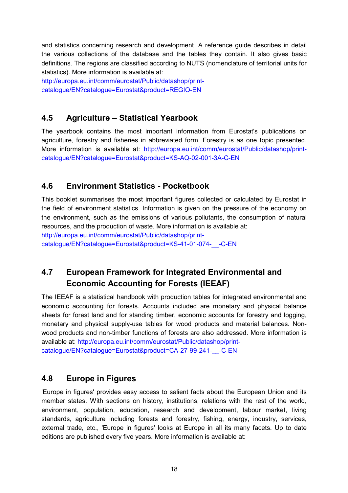and statistics concerning research and development. A reference guide describes in detail the various collections of the database and the tables they contain. It also gives basic definitions. The regions are classified according to NUTS (nomenclature of territorial units for statistics). More information is available at:

http://europa.eu.int/comm/eurostat/Public/datashop/printcatalogue/EN?catalogue=Eurostat&product=REGIO-EN

### <span id="page-17-0"></span>**4.5 Agriculture – Statistical Yearbook**

The yearbook contains the most important information from Eurostat's publications on agriculture, forestry and fisheries in abbreviated form. Forestry is as one topic presented. More information is available at: http://europa.eu.int/comm/eurostat/Public/datashop/printcatalogue/EN?catalogue=Eurostat&product=KS-AQ-02-001-3A-C-EN

### <span id="page-17-1"></span>**4.6 Environment Statistics - Pocketbook**

This booklet summarises the most important figures collected or calculated by Eurostat in the field of environment statistics. Information is given on the pressure of the economy on the environment, such as the emissions of various pollutants, the consumption of natural resources, and the production of waste. More information is available at:

http://europa.eu.int/comm/eurostat/Public/datashop/print-

catalogue/EN?catalogue=Eurostat&product=KS-41-01-074-\_\_-C-EN

## <span id="page-17-2"></span>**4.7 European Framework for Integrated Environmental and Economic Accounting for Forests (IEEAF)**

The IEEAF is a statistical handbook with production tables for integrated environmental and economic accounting for forests. Accounts included are monetary and physical balance sheets for forest land and for standing timber, economic accounts for forestry and logging, monetary and physical supply-use tables for wood products and material balances. Nonwood products and non-timber functions of forests are also addressed. More information is available at: http://europa.eu.int/comm/eurostat/Public/datashop/printcatalogue/EN?catalogue=Eurostat&product=CA-27-99-241-\_\_-C-EN

<span id="page-17-3"></span>**4.8 Europe in Figures** 

'Europe in figures' provides easy access to salient facts about the European Union and its member states. With sections on history, institutions, relations with the rest of the world, environment, population, education, research and development, labour market, living standards, agriculture including forests and forestry, fishing, energy, industry, services, external trade, etc., 'Europe in figures' looks at Europe in all its many facets. Up to date editions are published every five years. More information is available at: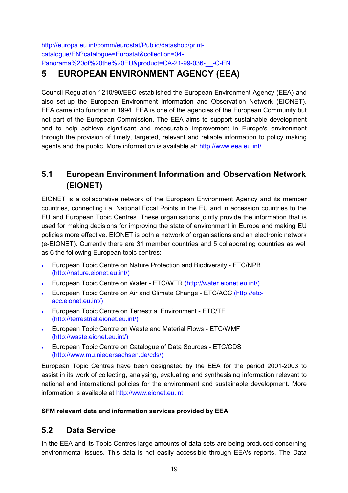<span id="page-18-0"></span>http://europa.eu.int/comm/eurostat/Public/datashop/printcatalogue/EN?catalogue=Eurostat&collection=04- Panorama%20of%20the%20EU&product=CA-21-99-036- -C-EN

# **5 EUROPEAN ENVIRONMENT AGENCY (EEA)**

Council Regulation 1210/90/EEC established the European Environment Agency (EEA) and also set-up the European Environment Information and Observation Network (EIONET). EEA came into function in 1994. EEA is one of the agencies of the European Community but not part of the European Commission. The EEA aims to support sustainable development and to help achieve significant and measurable improvement in Europe's environment through the provision of timely, targeted, relevant and reliable information to policy making agents and the public. More information is available at: http://www.eea.eu.int/

### <span id="page-18-1"></span>**5.1 European Environment Information and Observation Network (EIONET)**

EIONET is a collaborative network of the European Environment Agency and its member countries, connecting i.a. National Focal Points in the EU and in accession countries to the EU and European Topic Centres. These organisations jointly provide the information that is used for making decisions for improving the state of environment in Europe and making EU policies more effective. EIONET is both a network of organisations and an electronic network (e-EIONET). Currently there are 31 member countries and 5 collaborating countries as well as 6 the following European topic centres:

- European Topic Centre on Nature Protection and Biodiversity ETC/NPB (http://nature.eionet.eu.int/)
- European Topic Centre on Water ETC/WTR (http://water.eionet.eu.int/)
- European Topic Centre on Air and Climate Change ETC/ACC (http://etcacc.eionet.eu.int/)
- European Topic Centre on Terrestrial Environment ETC/TE (http://terrestrial.eionet.eu.int/)
- European Topic Centre on Waste and Material Flows ETC/WMF (http://waste.eionet.eu.int/)
- European Topic Centre on Catalogue of Data Sources ETC/CDS (http://www.mu.niedersachsen.de/cds/)

European Topic Centres have been designated by the EEA for the period 2001-2003 to assist in its work of collecting, analysing, evaluating and synthesising information relevant to national and international policies for the environment and sustainable development. More information is available at http://www.eionet.eu.int

#### <span id="page-18-2"></span>**SFM relevant data and information services provided by EEA**

### **5.2 Data Service**

In the EEA and its Topic Centres large amounts of data sets are being produced concerning environmental issues. This data is not easily accessible through EEA's reports. The Data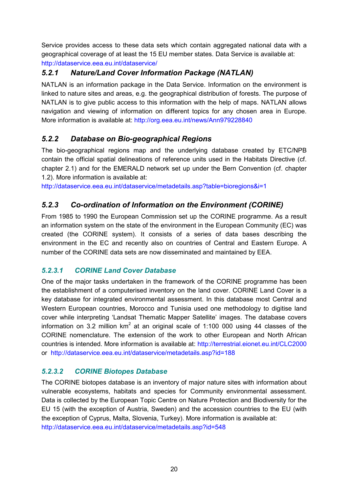<span id="page-19-0"></span>Service provides access to these data sets which contain aggregated national data with a geographical coverage of at least the 15 EU member states. Data Service is available at: http://dataservice.eea.eu.int/dataservice/

### *5.2.1 Nature/Land Cover Information Package (NATLAN)*

NATLAN is an information package in the Data Service. Information on the environment is linked to nature sites and areas, e.g. the geographical distribution of forests. The purpose of NATLAN is to give public access to this information with the help of maps. NATLAN allows navigation and viewing of information on different topics for any chosen area in Europe. More information is available at: http://org.eea.eu.int/news/Ann979228840

### <span id="page-19-1"></span>*5.2.2 Database on Bio-geographical Regions*

The bio-geographical regions map and the underlying database created by ETC/NPB [co](http://natlan.eea.eu.int/datasets.htm)ntain the official spatial delineations of reference units used in the Habitats Directive (cf. chapter 2.1) and for the EMERALD network set up under the Bern Convention (cf. chapter 1.2). More information is available at:

<span id="page-19-2"></span>http://dataservice.eea.eu.int/dataservice/metadetails.asp?table=bioregions&i=1

### *5.2.3 Co-ordination of Information on the Environment (CORINE)*

<span id="page-19-3"></span>From 1985 to 1990 the European Commission set up the CORINE programme. As a result an information system on the state of the environment in the European Community (EC) was created (the CORINE system). It consists of a series of data bases describing the environment in the EC and recently also on countries of Central and Eastern Europe. A number of the CORINE data sets are now disseminated and maintained by EEA.

### *5.2.3.1 CORINE Land Cover Database*

One of the major tasks undertaken in the framework of the CORINE programme has been the establishment of a computerised inventory on the land cover. CORINE Land Cover is a key database for integrated environmental assessment. In this database most Central and Western European countries, Morocco and Tunisia used one methodology to digitise land cover while interpreting 'Landsat Thematic Mapper Satellite' images. The database covers information on 3.2 million km<sup>2</sup> at an original scale of 1:100 000 using 44 classes of the CORINE nomenclature. The extension of the work to other European and North African countries is intended. More information is available at: http://terrestrial.eionet.eu.int/CLC2000 or http://dataservice.eea.eu.int/dataservice/metadetails.asp?id=188

### <span id="page-19-4"></span>*5.2.3.2 CORINE Biotopes Database*

<span id="page-19-5"></span>The CORINE biotopes database is an inventory of major nature sites with information about vulnerable ecosystems, habitats and species for Community environmental assessment. Data is collected by the European Topic Centre on Nature Protection and Biodiversity for the EU 15 (with the exception of Austria, Sweden) and the accession countries to the EU (with the exception of Cyprus, Malta, Slovenia, Turkey). More information is available at: http://dataservice.eea.eu.int/dataservice/metadetails.asp?id=548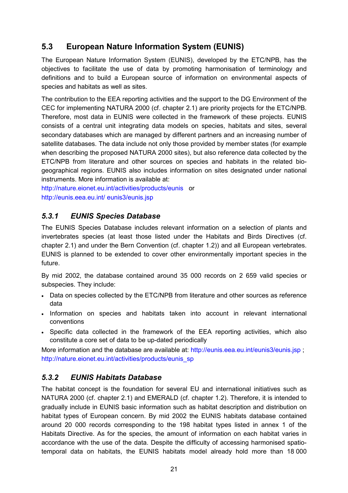### **5.3 European Nature Information System (EUNIS)**

The European Nature Information System (EUNIS), developed by the ETC/NPB, has the objectives to facilitate the use of data by promoting harmonisation of terminology and definitions and to build a European source of information on environmental aspects of species and habitats as well as sites.

The contribution to the EEA reporting activities and the support to the DG Environment of the CEC for implementing NATURA 2000 (cf. chapter 2.1) are priority projects for the ETC/NPB. Therefore, most data in EUNIS were collected in the framework of these projects. EUNIS consists of a central unit integrating data models on species, habitats and sites, several secondary databases which are managed by different partners and an increasing number of satellite databases. The data include not only those provided by member states (for example when describing the proposed NATURA 2000 sites), but also reference data collected by the ETC/NPB from literature and other sources on species and habitats in the related biogeographical regions. EUNIS also includes information on sites designated under national instruments. More information is available at:

<span id="page-20-0"></span>http://nature.eionet.eu.int/activities/products/eunis or http://eunis.eea.eu.int/ eunis3/eunis.jsp

### *5.3.1 EUNIS Species Database*

The EUNIS Species Database includes relevant information on a selection of plants and invertebrates species (at least those listed under the Habitats and Birds Directives (cf. chapter 2.1) and under the Bern Convention (cf. chapter 1.2)) and all European vertebrates. EUNIS is planned to be extended to cover other environmentally important species in the future.

By mid 2002, the database contained around 35 000 records on 2 659 valid species or subspecies. They include:

- Data on species collected by the ETC/NPB from literature and other sources as reference data
- Information on species and habitats taken into account in relevant international conventions
- Specific data collected in the framework of the EEA reporting activities, which also constitute a core set of data to be up-dated periodically

<span id="page-20-1"></span>More information and the database are available at: http://eunis.eea.eu.int/eunis3/eunis.jsp ; http://nature.eionet.eu.int/activities/products/eunis\_sp

### *5.3.2 EUNIS Habitats Database*

The habitat concept is the foundation for several EU and international initiatives such as NATURA 2000 (cf. chapter 2.1) and EMERALD (cf. chapter 1.2). Therefore, it is intended to gradually include in EUNIS basic information such as habitat description and distribution on habitat types of European concern. By mid 2002 the EUNIS habitats database contained around 20 000 records corresponding to the 198 habitat types listed in annex 1 of the Habitats Directive. As for the species, the amount of information on each habitat varies in accordance with the use of the data. Despite the difficulty of accessing harmonised spatiotemporal data on habitats, the EUNIS habitats model already hold more than 18 000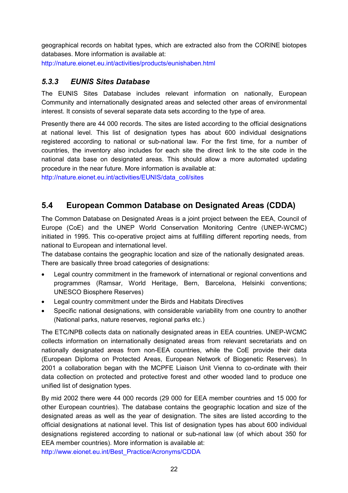<span id="page-21-0"></span>geographical records on habitat types, which are extracted also from the CORINE biotopes databases. More information is available at: http://nature.eionet.eu.int/activities/products/eunishaben.html

#### *5.3.3 EUNIS Sites Database*

The EUNIS Sites Database includes relevant information on nationally, European Community and internationally designated areas and selected other areas of environmental interest. It consists of several separate data sets according to the type of area.

Presently there are 44 000 records. The sites are listed according to the official designations at national level. This list of designation types has about 600 individual designations registered according to national or sub-national law. For the first time, for a number of countries, the inventory also includes for each site the direct link to the site code in the national data base on designated areas. This should allow a more automated updating procedure in the near future. More information is available at:

<span id="page-21-1"></span>http://nature.eionet.eu.int/activities/EUNIS/data\_coll/sites

### **5.4 European Common Database on Designated Areas (CDDA)**

The Common Database on Designated Areas is a joint project between the EEA, Council of Europe (CoE) and the UNEP World Conservation Monitoring Centre (UNEP-WCMC) initiated in 1995. This co-operative project aims at fulfilling different reporting needs, from national to European and international level.

The database contains the geographic location and size of the nationally designated areas. There are basically three broad categories of designations:

- $\bullet$  Legal country commitment in the framework of international or regional conventions and programmes (Ramsar, World Heritage, Bern, Barcelona, Helsinki conventions; UNESCO Biosphere Reserves)
- $\bullet$ Legal country commitment under the Birds and Habitats Directives
- - Specific national designations, with considerable variability from one country to another (National parks, nature reserves, regional parks etc.)

The ETC/NPB collects data on nationally designated areas in EEA countries. UNEP-WCMC collects information on internationally designated areas from relevant secretariats and on nationally designated areas from non-EEA countries, while the CoE provide their data (European Diploma on Protected Areas, European Network of Biogenetic Reserves). In 2001 a collaboration began with the MCPFE Liaison Unit Vienna to co-ordinate with their data collection on protected and protective forest and other wooded land to produce one unified list of designation types.

By mid 2002 there were 44 000 records (29 000 for EEA member countries and 15 000 for other European countries). The database contains the geographic location and size of the designated areas as well as the year of designation. The sites are listed according to the official designations at national level. This list of designation types has about 600 individual designations registered according to national or sub-national law (of which about 350 for EEA member countries). More information is available at: http://www.eionet.eu.int/Best\_Practice/Acronyms/CDDA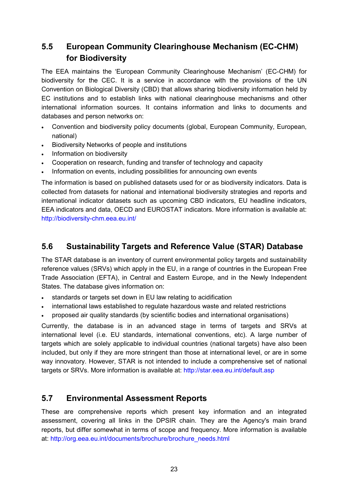### <span id="page-22-0"></span>**5.5 European Community Clearinghouse Mechanism (EC-CHM) for Biodiversity**

The EEA maintains the 'European Community Clearinghouse Mechanism' (EC-CHM) for biodiversity for the CEC. It is a service in accordance with the provisions of the UN Convention on Biological Diversity (CBD) that allows sharing biodiversity information held by EC institutions and to establish links with national clearinghouse mechanisms and other international information sources. It contains information and links to documents and databases and person networks on:

- Convention and biodiversity policy documents (global, European Community, European, national)
- Biodiversity Networks of people and institutions
- Information on biodiversity
- Cooperation on research, funding and transfer of technology and capacity
- Information on events, including possibilities for announcing own events

The information is based on published datasets used for or as biodiversity indicators. Data is collected from datasets for national and international biodiversity strategies and reports and international indicator datasets such as upcoming CBD indicators, EU headline indicators, EEA indicators and data, OECD and EUROSTAT indicators. More information is available at: http://biodiversity-chm.eea.eu.int/

### <span id="page-22-1"></span>**5.6 Sustainability Targets and Reference Value (STAR) Database**

The STAR database is an inventory of current environmental policy targets and sustainability reference values (SRVs) which apply in the EU, in a range of countries in the European Free Trade Association (EFTA), in Central and Eastern Europe, and in the Newly Independent States. The database gives information on:

- standards or targets set down in EU law relating to acidification
- international laws established to regulate hazardous waste and related restrictions
- proposed air quality standards (by scientific bodies and international organisations)

Currently, the database is in an advanced stage in terms of targets and SRVs at international level (i.e. EU standards, international conventions, etc). A large number of targets which are solely applicable to individual countries (national targets) have also been included, but only if they are more stringent than those at international level, or are in some way innovatory. However, STAR is not intended to include a comprehensive set of national targets or SRVs. More information is available at: http://star.eea.eu.int/default.asp

### <span id="page-22-2"></span>**5.7 Environmental Assessment Reports**

These are comprehensive reports which present key information and an integrated assessment, covering all links in the DPSIR chain. They are the Agency's main brand reports, but differ somewhat in terms of scope and frequency. More information is available at: http://org.eea.eu.int/documents/brochure/brochure\_needs.html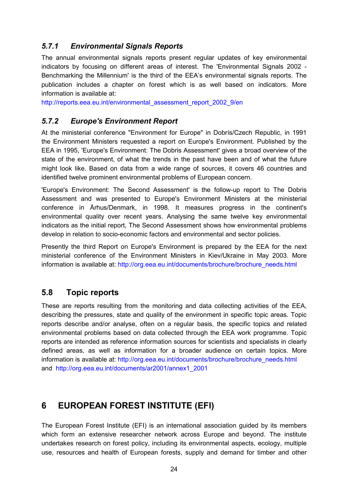### <span id="page-23-0"></span>*5.7.1 Environmental Signals Reports*

The annual environmental signals reports present regular updates of key environmental indicators by focusing on different areas of interest. The 'Environmental Signals 2002 - Benchmarking the Millennium' is the third of the EEA's environmental signals reports. The publication includes a chapter on forest which is as well based on indicators. More information is available at:

http://reports.eea.eu.int/environmental\_assessment\_report\_2002\_9/en

#### <span id="page-23-1"></span>*5.7.2 Europe's Environment Report*

At the ministerial conference "Environment for Europe" in Dobrís/Czech Republic, in 1991 the Environment Ministers requested a report on Europe's Environment. Published by the EEA in 1995, 'Europe's Environment: The Dobris Assessment' gives a broad overview of the state of the environment, of what the trends in the past have been and of what the future might look like. Based on data from a wide range of sources, it covers 46 countries and identified twelve prominent environmental problems of European concern.

'Europe's Environment: The Second Assessment' is the follow-up report to The Dobris Assessment and was presented to Europe's Environment Ministers at the ministerial conference in Århus/Denmark, in 1998. It measures progress in the continent's environmental quality over recent years. Analysing the same twelve key environmental indicators as the initial report, The Second Assessment shows how environmental problems develop in relation to socio-economic factors and environmental and sector policies.

Presently the third Report on Europe's Environment is prepared by the EEA for the next ministerial conference of the Environment Ministers in Kiev/Ukraine in May 2003. More information is available at: http://org.eea.eu.int/documents/brochure/brochure\_needs.html

### <span id="page-23-2"></span>**5.8 Topic reports**

These are reports resulting from the monitoring and data collecting activities of the EEA, describing the pressures, state and quality of the environment in specific topic areas. Topic reports describe and/or analyse, often on a regular basis, the specific topics and related environmental problems based on data collected through the EEA work programme. Topic reports are intended as reference information sources for scientists and specialists in clearly defined areas, as well as information for a broader audience on certain topics. More information is available at: http://org.eea.eu.int/documents/brochure/brochure\_needs.html and http://org.eea.eu.int/documents/ar2001/annex1\_2001

### <span id="page-23-3"></span>**6 EUROPEAN FOREST INSTITUTE (EFI)**

The European Forest Institute (EFI) is an international association guided by its members which form an extensive researcher network across Europe and beyond. The institute undertakes research on forest policy, including its environmental aspects, ecology, multiple use, resources and health of European forests, supply and demand for timber and other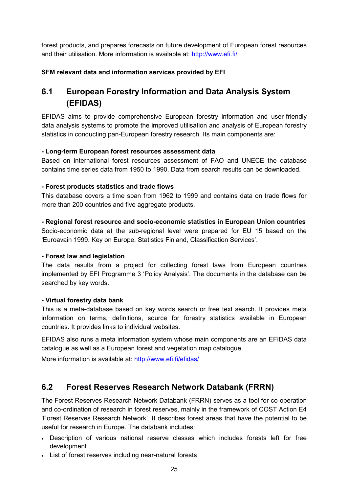forest products, and prepares forecasts on future development of European forest resources and their utilisation. More information is available at: http://www.efi.fi/

#### **SFM relevant data and information services provided by EFI**

### <span id="page-24-0"></span>**6.1 European Forestry Information and Data Analysis System (EFIDAS)**

EFIDAS aims to provide comprehensive European forestry information and user-friendly data analysis systems to promote the improved utilisation and analysis of European forestry statistics in conducting pan-European forestry research. Its main components are:

#### **- Long-term European forest resources assessment data**

Based on international forest resources assessment of FAO and UNECE the database contains time series data from 1950 to 1990. Data from search results can be downloaded.

#### **- Forest products statistics and trade flows**

This database covers a time span from 1962 to 1999 and contains data on trade flows for more than 200 countries and five aggregate products.

**- Regional forest resource and socio-economic statistics in European Union countries** Socio-economic data at the sub-regional level were prepared for EU 15 based on the 'Euroavain 1999. Key on Europe, Statistics Finland, Classification Services'.

#### **- Forest law and legislation**

The data results from a project for collecting forest laws from European countries implemented by EFI Programme 3 'Policy Analysis'. The documents in the database can be searched by key words.

#### **- Virtual forestry data bank**

This is a meta-database based on key words search or free text search. It provides meta information on terms, definitions, source for forestry statistics available in European countries. It provides links to individual websites.

EFIDAS also runs a meta information system whose main components are an EFIDAS data catalogue as well as a European forest and vegetation map catalogue.

More information is available at: http://www.efi.fi/efidas/

### <span id="page-24-1"></span>**6.2 Forest Reserves Research Network Databank (FRRN)**

The Forest Reserves Research Network Databank (FRRN) serves as a tool for co-operation and co-ordination of research in forest reserves, mainly in the framework of COST Action E4 'Forest Reserves Research Network'. It describes forest areas that have the potential to be useful for research in Europe. The databank includes:

- Description of various national reserve classes which includes forests left for free development
- List of forest reserves including near-natural forests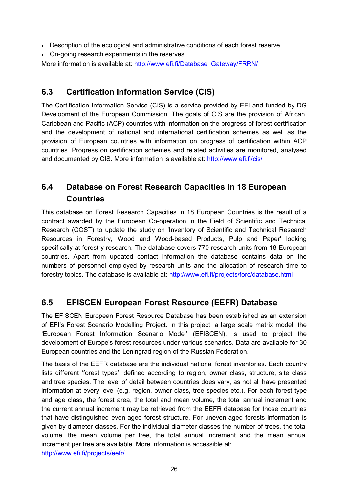- Description of the ecological and administrative conditions of each forest reserve
- On-going research experiments in the reserves

More information is available at: http://www.efi.fi/Database\_Gateway/FRRN/

### <span id="page-25-0"></span>**6.3 Certification Information Service (CIS)**

The Certification Information Service (CIS) is a service provided by EFI and funded by DG Development of the European Commission. The goals of CIS are the provision of African, Caribbean and Pacific (ACP) countries with information on the progress of forest certification and the development of national and international certification schemes as well as the provision of European countries with information on progress of certification within ACP countries. Progress on certification schemes and related activities are monitored, analysed and documented by CIS. More information is available at: http://www.efi.fi/cis/

### <span id="page-25-1"></span>**6.4 Database on Forest Research Capacities in 18 European Countries**

This database on Forest Research Capacities in 18 European Countries is the result of a contract awarded by the European Co-operation in the Field of Scientific and Technical Research (COST) to update the study on 'Inventory of Scientific and Technical Research Resources in Forestry, Wood and Wood-based Products, Pulp and Paper' looking specifically at forestry research. The database covers 770 research units from 18 European countries. Apart from updated contact information the database contains data on the numbers of personnel employed by research units and the allocation of research time to forestry topics. The database is available at: http://www.efi.fi/projects/forc/database.html

### <span id="page-25-2"></span>**6.5 EFISCEN European Forest Resource (EEFR) Database**

The EFISCEN European Forest Resource Database has been established as an extension of EFI's Forest Scenario Modelling Project. In this project, a large scale matrix model, the 'European Forest Information Scenario Model' (EFISCEN), is used to project the development of Europe's forest resources under various scenarios. Data are available for 30 European countries and the Leningrad region of the Russian Federation.

The basis of the EEFR database are the individual national forest inventories. Each country lists different 'forest types', defined according to region, owner class, structure, site class and tree species. The level of detail between countries does vary, as not all have presented information at every level (e.g. region, owner class, tree species etc.). For each forest type and age class, the forest area, the total and mean volume, the total annual increment and the current annual increment may be retrieved from the EEFR database for those countries that have distinguished even-aged forest structure. For uneven-aged forests information is given by diameter classes. For the individual diameter classes the number of trees, the total volume, the mean volume per tree, the total annual increment and the mean annual increment per tree are available. More information is accessible at: http://www.efi.fi/projects/eefr/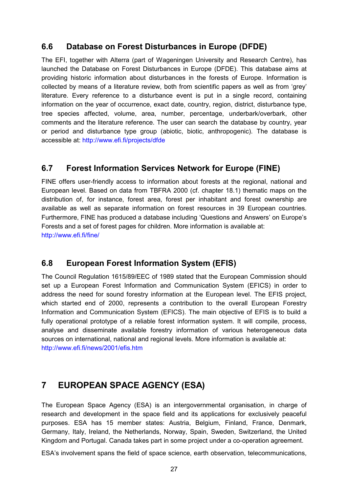### <span id="page-26-0"></span>**6.6 Database on Forest Disturbances in Europe (DFDE)**

The EFI, together with Alterra (part of Wageningen University and Research Centre), has launched the Database on Forest Disturbances in Europe (DFDE). This database aims at providing historic information about disturbances in the forests of Europe. Information is collected by means of a literature review, both from scientific papers as well as from 'grey' literature. Every reference to a disturbance event is put in a single record, containing information on the year of occurrence, exact date, country, region, district, disturbance type, tree species affected, volume, area, number, percentage, underbark/overbark, other comments and the literature reference. The user can search the database by country, year or period and disturbance type group (abiotic, biotic, anthropogenic). The database is accessible at: http://www.efi.fi/projects/dfde

### <span id="page-26-1"></span>**6.7 Forest Information Services Network for Europe (FINE)**

FINE offers user-friendly access to information about forests at the regional, national and European level. Based on data from TBFRA 2000 (cf. chapter 18.1) thematic maps on the distribution of, for instance, forest area, forest per inhabitant and forest ownership are available as well as separate information on forest resources in 39 European countries. Furthermore, FINE has produced a database including 'Questions and Answers' on Europe's Forests and a set of forest pages for children. More information is available at: http://www.efi.fi/fine/

### <span id="page-26-2"></span>**6.8 European Forest Information System (EFIS)**

The Council Regulation 1615/89/EEC of 1989 stated that the European Commission should set up a European Forest Information and Communication System (EFICS) in order to address the need for sound forestry information at the European level. The EFIS project, which started end of 2000, represents a contribution to the overall European Forestry Information and Communication System (EFICS). The main objective of EFIS is to build a fully operational prototype of a reliable forest information system. It will compile, process, analyse and disseminate available forestry information of various heterogeneous data sources on international, national and regional levels. More information is available at: http://www.efi.fi/news/2001/efis.htm

### <span id="page-26-3"></span>**7 EUROPEAN SPACE AGENCY (ESA)**

The European Space Agency (ESA) is an intergovernmental organisation, in charge of research and development in the space field and its applications for exclusively peaceful purposes. ESA has 15 member states: Austria, Belgium, Finland, France, Denmark, Germany, Italy, Ireland, the Netherlands, Norway, Spain, Sweden, Switzerland, the United Kingdom and Portugal. Canada takes part in some project under a co-operation agreement.

ESA's involvement spans the field of space science, earth observation, telecommunications,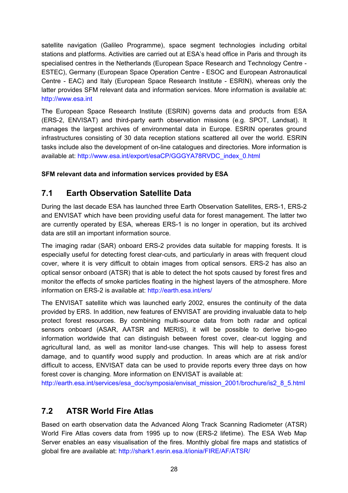satellite navigation (Galileo Programme), space segment technologies including orbital stations and platforms. Activities are carried out at ESA's head office in Paris and through its specialised centres in the Netherlands (European Space Research and Technology Centre - ESTEC), Germany (European Space Operation Centre - ESOC and European Astronautical Centre - EAC) and Italy (European Space Research Institute - ESRIN), whereas only the latter provides SFM relevant data and information services. More information is available at: http://www.esa.int

The European Space Research Institute (ESRIN) governs data and products from ESA (ERS-2, ENVISAT) and third-party earth observation missions (e.g. SPOT, Landsat). It manages the largest archives of environmental data in Europe. ESRIN operates ground infrastructures consisting of 30 data reception stations scattered all over the world. ESRIN tasks include also the development of on-line catalogues and directories. More information is available at: http://www.esa.int/export/esaCP/GGGYA78RVDC\_index\_0.html

#### **SFM relevant data and information services provided by ESA**

### <span id="page-27-0"></span>**7.1 Earth Observation Satellite Data**

During the last decade ESA has launched three Earth Observation Satellites, ERS-1, ERS-2 and ENVISAT which have been providing useful data for forest management. The latter two are currently operated by ESA, whereas ERS-1 is no longer in operation, but its archived data are still an important information source.

The imaging radar (SAR) onboard ERS-2 provides data suitable for mapping forests. It is especially useful for detecting forest clear-cuts, and particularly in areas with frequent cloud cover, where it is very difficult to obtain images from optical sensors. ERS-2 has also an optical sensor onboard (ATSR) that is able to detect the hot spots caused by forest fires and monitor the effects of smoke particles floating in the highest layers of the atmosphere. More information on ERS-2 is available at: http://earth.esa.int/ers/

The ENVISAT satellite which was launched early 2002, ensures the continuity of the data provided by ERS. In addition, new features of ENVISAT are providing invaluable data to help protect forest resources. By combining multi-source data from both radar and optical sensors onboard (ASAR, AATSR and MERIS), it will be possible to derive bio-geo information worldwide that can distinguish between forest cover, clear-cut logging and agricultural land, as well as monitor land-use changes. This will help to assess forest damage, and to quantify wood supply and production. In areas which are at risk and/or difficult to access, ENVISAT data can be used to provide reports every three days on how forest cover is changing. More information on ENVISAT is available at:

http://earth.esa.int/services/esa\_doc/symposia/envisat\_mission\_2001/brochure/is2\_8\_5.html

### <span id="page-27-1"></span>**7.2 ATSR World Fire Atlas**

Based on earth observation data the Advanced Along Track Scanning Radiometer (ATSR) World Fire Atlas covers data from 1995 up to now (ERS-2 lifetime). The ESA Web Map Server enables an easy visualisation of the fires. Monthly global fire maps and statistics of global fire are available at: http://shark1.esrin.esa.it/ionia/FIRE/AF/ATSR/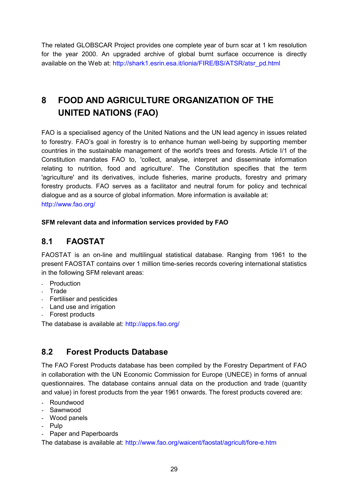The related GLOBSCAR Project provides one complete year of burn scar at 1 km resolution for the year 2000. An upgraded archive of global burnt surface occurrence is directly available on the Web at: http://shark1.esrin.esa.it/ionia/FIRE/BS/ATSR/atsr\_pd.html

# <span id="page-28-0"></span>**8 FOOD AND AGRICULTURE ORGANIZATION OF THE UNITED NATIONS (FAO)**

FAO is a specialised agency of the United Nations and the UN lead agency in issues related to forestry. FAO's goal in forestry is to enhance human well-being by supporting member countries in the sustainable management of the world's trees and forests. Article I/1 of the Constitution mandates FAO to, 'collect, analyse, interpret and disseminate information relating to nutrition, food and agriculture'. The Constitution specifies that the term 'agriculture' and its derivatives, include fisheries, marine products, forestry and primary forestry products. FAO serves as a facilitator and neutral forum for policy and technical dialogue and as a source of global information. More information is available at: http://www.fao.org/

#### **SFM relevant data and information services provided by FAO**

### <span id="page-28-1"></span>**8.1 FAOSTAT**

FAOSTAT is an on-line and multilingual statistical database. Ranging from 1961 to the present FAOSTAT contains over 1 million time-series records covering international statistics in the following SFM relevant areas:

- Production
- Trade
- Fertiliser and pesticides
- Land use and irrigation
- Forest products

The database is available at: http://apps.fao.org/

### <span id="page-28-2"></span>**8.2 Forest Products Database**

The FAO Forest Products database has been compiled by the Forestry Department of FAO in collaboration with the UN Economic Commission for Europe (UNECE) in forms of annual questionnaires. The database contains annual data on the production and trade (quantity and value) in forest products from the year 1961 onwards. The forest products covered are:

- Roundwood
- Sawnwood
- Wood panels
- Pulp
- Paper and Paperboards

The database is available at: http://www.fao.org/waicent/faostat/agricult/fore-e.htm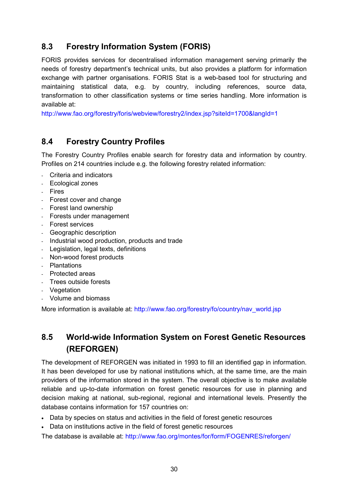### <span id="page-29-0"></span>**8.3 Forestry Information System (FORIS)**

FORIS provides services for decentralised information management serving primarily the needs of forestry department's technical units, but also provides a platform for information exchange with partner organisations. FORIS Stat is a web-based tool for structuring and maintaining statistical data, e.g. by country, including references, source data, transformation to other classification systems or time series handling. More information is available at:

http://www.fao.org/forestry/foris/webview/forestry2/index.jsp?siteId=1700&langId=1

### <span id="page-29-1"></span>**8.4 Forestry Country Profiles**

The Forestry Country Profiles enable search for forestry data and information by country. Profiles on 214 countries include e.g. the following forestry related information:

- Criteria and indicators
- Ecological zones
- Fires
- Forest cover and change
- Forest land ownership
- Forests under management
- Forest services
- Geographic description
- Industrial wood production, products and trade
- Legislation, legal texts, definitions
- Non-wood forest products
- Plantations
- Protected areas
- Trees outside forests
- Vegetation
- Volume and biomass

More information is available at: http://www.fao.org/forestry/fo/country/nav\_world.jsp

### <span id="page-29-2"></span>**8.5 World-wide Information System on Forest Genetic Resources (REFORGEN)**

The development of REFORGEN was initiated in 1993 to fill an identified gap in information. It has been developed for use by national institutions which, at the same time, are the main providers of the information stored in the system. The overall objective is to make available reliable and up-to-date information on forest genetic resources for use in planning and decision making at national, sub-regional, regional and international levels. Presently the database contains information for 157 countries on:

- Data by species on status and activities in the field of forest genetic resources
- Data on institutions active in the field of forest genetic resources

The database is available at: http://www.fao.org/montes/for/form/FOGENRES/reforgen/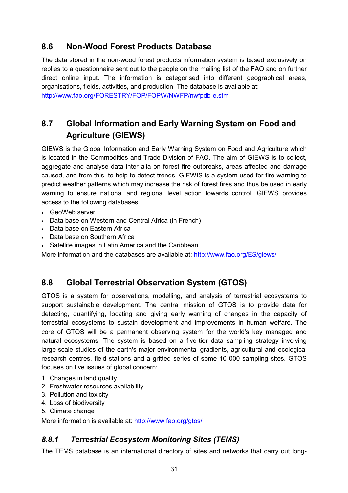### <span id="page-30-0"></span>**8.6 Non-Wood Forest Products Database**

The data stored in the non-wood forest products information system is based exclusively on replies to a questionnaire sent out to the people on the mailing list of the FAO and on further direct online input. The information is categorised into different geographical areas, organisations, fields, activities, and production. The database is available at: http://www.fao.org/FORESTRY/FOP/FOPW/NWFP/nwfpdb-e.stm

### <span id="page-30-1"></span>**8.7 Global Information and Early Warning System on Food and Agriculture (GIEWS)**

GIEWS is the Global Information and Early Warning System on Food and Agriculture which is located in the Commodities and Trade Division of FAO. The aim of GIEWS is to collect, aggregate and analyse data inter alia on forest fire outbreaks, areas affected and damage caused, and from this, to help to detect trends. GIEWIS is a system used for fire warning to predict weather patterns which may increase the risk of forest fires and thus be used in early warning to ensure national and regional level action towards control. GIEWS provides access to the following databases:

- GeoWeb server
- Data base on Western and Central Africa (in French)
- Data base on Eastern Africa
- Data base on Southern Africa
- Satellite images in Latin America and the Caribbean

More information and the databases are available at: http://www.fao.org/ES/giews/

### <span id="page-30-2"></span>**8.8 Global Terrestrial Observation System (GTOS)**

GTOS is a system for observations, modelling, and analysis of terrestrial ecosystems to support sustainable development. The central mission of GTOS is to provide data for detecting, quantifying, locating and giving early warning of changes in the capacity of terrestrial ecosystems to sustain development and improvements in human welfare. The core of GTOS will be a permanent observing system for the world's key managed and natural ecosystems. The system is based on a five-tier data sampling strategy involving large-scale studies of the earth's major environmental gradients, agricultural and ecological research centres, field stations and a gritted series of some 10 000 sampling sites. GTOS focuses on five issues of global concern:

- 1. Changes in land quality
- 2. Freshwater resources availability
- 3. Pollution and toxicity
- 4. Loss of biodiversity
- 5. Climate change

More information is available at: http://www.fao.org/gtos/

### <span id="page-30-3"></span>*8.8.1 Terrestrial Ecosystem Monitoring Sites (TEMS)*

The TEMS database is an international directory of sites and networks that carry out long-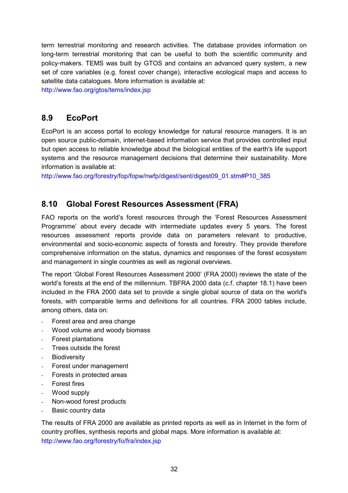term terrestrial monitoring and research activities. The database provides information on long-term terrestrial monitoring that can be useful to both the scientific community and policy-makers. TEMS was built by GTOS and contains an advanced query system, a new set of core variables (e.g. forest cover change), interactive ecological maps and access to satellite data catalogues. More information is available at:

http://www.fao.org/gtos/tems/index.jsp

### <span id="page-31-0"></span>**8.9 EcoPort**

EcoPort is an access portal to ecology knowledge for natural resource managers. It is an open source public-domain, internet-based information service that provides controlled input but open access to reliable knowledge about the biological entities of the earth's life support systems and the resource management decisions that determine their sustainability. More information is available at:

http://www.fao.org/forestry/fop/fopw/nwfp/digest/sent/digest09\_01.stm#P10\_385

### <span id="page-31-1"></span>**8.10 Global Forest Resources Assessment (FRA)**

FAO reports on the world's forest resources through the 'Forest Resources Assessment Programme' about every decade with intermediate updates every 5 years. The forest resources assessment reports provide data on parameters relevant to productive, environmental and socio-economic aspects of forests and forestry. They provide therefore comprehensive information on the status, dynamics and responses of the forest ecosystem and management in single countries as well as regional overviews.

The report 'Global Forest Resources Assessment 2000' (FRA 2000) reviews the state of the world's forests at the end of the millennium. TBFRA 2000 data (c.f. chapter 18.1) have been included in the FRA 2000 data set to provide a single global source of data on the world's forests, with comparable terms and definitions for all countries. FRA 2000 tables include, among others, data on:

- Forest area and area change
- Wood volume and woody biomass
- Forest plantations
- Trees outside the forest
- Biodiversity
- Forest under management
- Forests in protected areas
- Forest fires
- Wood supply
- Non-wood forest products
- Basic country data

The results of FRA 2000 are available as printed reports as well as in Internet in the form of country profiles, synthesis reports and global maps. More information is available at: http://www.fao.org/forestry/fo/fra/index.jsp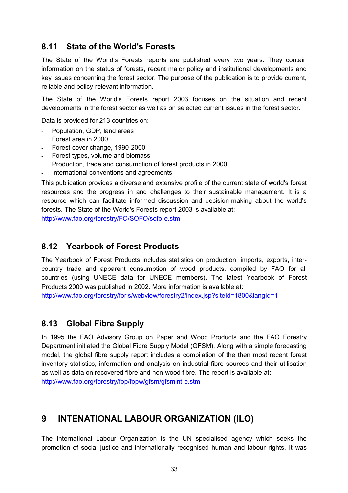### <span id="page-32-0"></span>**8.11 State of the World's Forests**

The State of the World's Forests reports are published every two years. They contain information on the status of forests, recent major policy and institutional developments and key issues concerning the forest sector. The purpose of the publication is to provide current, reliable and policy-relevant information.

The State of the World's Forests report 2003 focuses on the situation and recent developments in the forest sector as well as on selected current issues in the forest sector.

Data is provided for 213 countries on:

- Population, GDP, land areas
- Forest area in 2000
- Forest cover change, 1990-2000
- Forest types, volume and biomass
- Production, trade and consumption of forest products in 2000
- International conventions and agreements

This publication provides a diverse and extensive profile of the current state of world's forest resources and the progress in and challenges to their sustainable management. It is a resource which can facilitate informed discussion and decision-making about the world's forests. The State of the World's Forests report 2003 is available at: http://www.fao.org/forestry/FO/SOFO/sofo-e.stm

### <span id="page-32-1"></span>**8.12 Yearbook of Forest Products**

The Yearbook of Forest Products includes statistics on production, imports, exports, intercountry trade and apparent consumption of wood products, compiled by FAO for all countries (using UNECE data for UNECE members). The latest Yearbook of Forest Products 2000 was published in 2002. More information is available at:

http://www.fao.org/forestry/foris/webview/forestry2/index.jsp?siteId=1800&langId=1

### <span id="page-32-2"></span>**8.13 Global Fibre Supply**

In 1995 the FAO Advisory Group on Paper and Wood Products and the FAO Forestry Department initiated the Global Fibre Supply Model (GFSM). Along with a simple forecasting model, the global fibre supply report includes a compilation of the then most recent forest inventory statistics, information and analysis on industrial fibre sources and their utilisation as well as data on recovered fibre and non-wood fibre. The report is available at: http://www.fao.org/forestry/fop/fopw/gfsm/gfsmint-e.stm

### <span id="page-32-3"></span>**9 INTENATIONAL LABOUR ORGANIZATION (ILO)**

The International Labour Organization is the UN specialised agency which seeks the promotion of social justice and internationally recognised human and labour rights. It was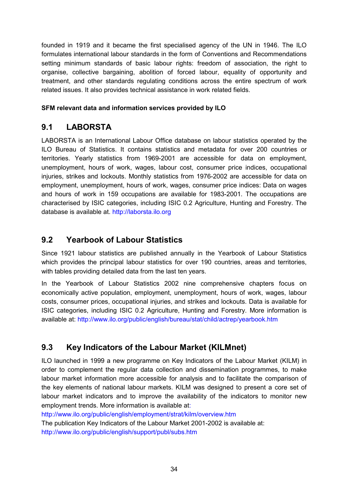founded in 1919 and it became the first specialised agency of the UN in 1946. The ILO formulates international labour standards in the form of Conventions and Recommendations setting minimum standards of basic labour rights: freedom of association, the right to organise, collective bargaining, abolition of forced labour, equality of opportunity and treatment, and other standards regulating conditions across the entire spectrum of work related issues. It also provides technical assistance in work related fields.

#### **SFM relevant data and information services provided by ILO**

### <span id="page-33-0"></span>**9.1 LABORSTA**

LABORSTA is an International Labour Office database on labour statistics operated by the ILO Bureau of Statistics. It contains statistics and metadata for over 200 countries or territories. Yearly statistics from 1969-2001 are accessible for data on employment, unemployment, hours of work, wages, labour cost, consumer price indices, occupational injuries, strikes and lockouts. Monthly statistics from 1976-2002 are accessible for data on employment, unemployment, hours of work, wages, consumer price indices: Data on wages and hours of work in 159 occupations are available for 1983-2001. The occupations are characterised by ISIC categories, including ISIC 0.2 Agriculture, Hunting and Forestry. The database is available at. http://laborsta.ilo.org

### <span id="page-33-1"></span>**9.2 Yearbook of Labour Statistics**

Since 1921 labour statistics are published annually in the Yearbook of Labour Statistics which provides the principal labour statistics for over 190 countries, areas and territories, with tables providing detailed data from the last ten years.

In the Yearbook of Labour Statistics 2002 nine comprehensive chapters focus on economically active population, employment, unemployment, hours of work, wages, labour costs, consumer prices, occupational injuries, and strikes and lockouts. Data is available for ISIC categories, including ISIC 0.2 Agriculture, Hunting and Forestry. More information is available at: http://www.ilo.org/public/english/bureau/stat/child/actrep/yearbook.htm

### <span id="page-33-2"></span>**9.3 Key Indicators of the Labour Market (KILMnet)**

ILO launched in 1999 a new programme on Key Indicators of the Labour Market (KILM) in order to complement the regular data collection and dissemination programmes, to make labour market information more accessible for analysis and to facilitate the comparison of the key elements of national labour markets. KILM was designed to present a core set of labour market indicators and to improve the availability of the indicators to monitor new employment trends. More information is available at:

http://www.ilo.org/public/english/employment/strat/kilm/overview.htm

The publication Key Indicators of the Labour Market 2001-2002 is available at: http://www.ilo.org/public/english/support/publ/subs.htm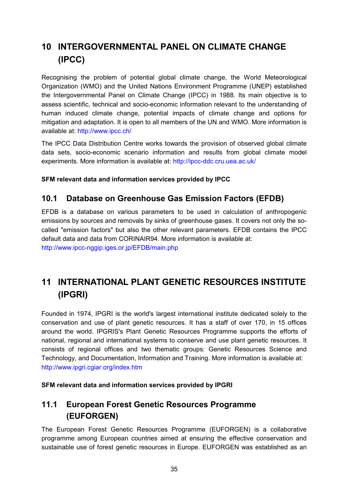# <span id="page-34-0"></span>**10 INTERGOVERNMENTAL PANEL ON CLIMATE CHANGE (IPCC)**

Recognising the problem of potential global climate change, the World Meteorological Organization (WMO) and the United Nations Environment Programme (UNEP) established the Intergovernmental Panel on Climate Change (IPCC) in 1988. Its main objective is to assess scientific, technical and socio-economic information relevant to the understanding of human induced climate change, potential impacts of climate change and options for mitigation and adaptation. It is open to all members of the UN and WMO. More information is available at: http://www.ipcc.ch/

The IPCC Data Distribution Centre works towards the provision of observed global climate data sets, socio-economic scenario information and results from global climate model experiments. More information is available at: http://ipcc-ddc.cru.uea.ac.uk/

**SFM relevant data and information services provided by IPCC**

### <span id="page-34-1"></span>**10.1 Database on Greenhouse Gas Emission Factors (EFDB)**

EFDB is a database on various parameters to be used in calculation of anthropogenic emissions by sources and removals by sinks of greenhouse gases. It covers not only the socalled "emission factors" but also the other relevant parameters. EFDB contains the IPCC default data and data from CORINAIR94. More information is available at: http://www.ipcc-nggip.iges.or.jp/EFDB/main.php

# <span id="page-34-2"></span>**11 INTERNATIONAL PLANT GENETIC RESOURCES INSTITUTE (IPGRI)**

Founded in 1974, IPGRI is the world's largest international institute dedicated solely to the conservation and use of plant genetic resources. It has a staff of over 170, in 15 offices around the world. IPGRIS's Plant Genetic Resources Programme supports the efforts of national, regional and international systems to conserve and use plant genetic resources. It consists of regional offices and two thematic groups: Genetic Resources Science and Technology, and Documentation, Information and Training. More information is available at: http://www.ipgri.cgiar.org/index.htm

#### **SFM relevant data and information services provided by IPGRI**

### <span id="page-34-3"></span>**11.1 European Forest Genetic Resources Programme (EUFORGEN)**

The European Forest Genetic Resources Programme (EUFORGEN) is a collaborative programme among European countries aimed at ensuring the effective conservation and sustainable use of forest genetic resources in Europe. EUFORGEN was established as an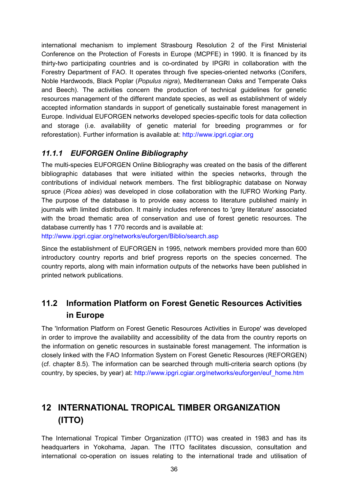international mechanism to implement Strasbourg Resolution 2 of the First Ministerial Conference on the Protection of Forests in Europe (MCPFE) in 1990. It is financed by its thirty-two participating countries and is co-ordinated by IPGRI in collaboration with the Forestry Department of FAO. It operates through five species-oriented networks (Conifers, Noble Hardwoods, Black Poplar (*Populus nigra*), Mediterranean Oaks and Temperate Oaks and Beech). The activities concern the production of technical guidelines for genetic resources management of the different mandate species, as well as establishment of widely accepted information standards in support of genetically sustainable forest management in Europe. Individual EUFORGEN networks developed species-specific tools for data collection and storage (i.e. availability of genetic material for breeding programmes or for reforestation). Further information is available at: http://www.ipgri.cgiar.org

### <span id="page-35-0"></span>*11.1.1 EUFORGEN Online Bibliography*

The multi-species EUFORGEN Online Bibliography was created on the basis of the different bibliographic databases that were initiated within the species networks, through the contributions of individual network members. The first bibliographic database on Norway spruce (*Picea abies*) was developed in close collaboration with the IUFRO Working Party. The purpose of the database is to provide easy access to literature published mainly in journals with limited distribution. It mainly includes references to 'grey literature' associated with the broad thematic area of conservation and use of forest genetic resources. The database currently has 1 770 records and is available at: http://www.ipgri.cgiar.org/networks/euforgen/Biblio/search.asp

Since the establishment of EUFORGEN in 1995, network members provided more than 600 introductory country reports and brief progress reports on the species concerned. The country reports, along with main information outputs of the networks have been published in printed network publications.

### <span id="page-35-1"></span>**11.2 Information Platform on Forest Genetic Resources Activities in Europe**

The 'Information Platform on Forest Genetic Resources Activities in Europe' was developed in order to improve the availability and accessibility of the data from the country reports on the information on genetic resources in sustainable forest management. The information is closely linked with the FAO Information System on Forest Genetic Resources (REFORGEN) (cf. chapter 8.5). The information can be searched through multi-criteria search options (by country, by species, by year) at: http://www.ipgri.cgiar.org/networks/euforgen/euf\_home.htm

# <span id="page-35-2"></span>**12 INTERNATIONAL TROPICAL TIMBER ORGANIZATION (ITTO)**

The International Tropical Timber Organization (ITTO) was created in 1983 and has its headquarters in Yokohama, Japan. The ITTO facilitates discussion, consultation and international co-operation on issues relating to the international trade and utilisation of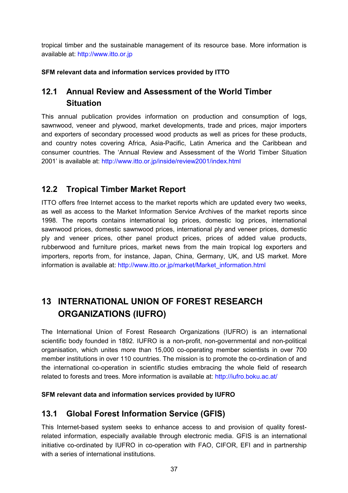tropical timber and the sustainable management of its resource base. More information is available at: http://www.itto.or.jp

#### **SFM relevant data and information services provided by ITTO**

### <span id="page-36-0"></span>**12.1 Annual Review and Assessment of the World Timber Situation**

This annual publication provides information on production and consumption of logs, sawnwood, veneer and plywood, market developments, trade and prices, major importers and exporters of secondary processed wood products as well as prices for these products, and country notes covering Africa, Asia-Pacific, Latin America and the Caribbean and consumer countries. The 'Annual Review and Assessment of the World Timber Situation 2001' is available at: http://www.itto.or.jp/inside/review2001/index.html

### <span id="page-36-1"></span>**12.2 Tropical Timber Market Report**

ITTO offers free Internet access to the market reports which are updated every two weeks, as well as access to the Market Information Service Archives of the market reports since 1998. The reports contains international log prices, domestic log prices, international sawnwood prices, domestic sawnwood prices, international ply and veneer prices, domestic ply and veneer prices, other panel product prices, prices of added value products, rubberwood and furniture prices, market news from the main tropical log exporters and importers, reports from, for instance, Japan, China, Germany, UK, and US market. More information is available at: http://www.itto.or.jp/market/Market\_information.html

# <span id="page-36-2"></span>**13 INTERNATIONAL UNION OF FOREST RESEARCH ORGANIZATIONS (IUFRO)**

The International Union of Forest Research Organizations (IUFRO) is an international scientific body founded in 1892. IUFRO is a non-profit, non-governmental and non-political organisation, which unites more than 15,000 co-operating member scientists in over 700 member institutions in over 110 countries. The mission is to promote the co-ordination of and the international co-operation in scientific studies embracing the whole field of research related to forests and trees. More information is available at: http://iufro.boku.ac.at/

#### **SFM relevant data and information services provided by IUFRO**

### <span id="page-36-3"></span>**13.1 Global Forest Information Service (GFIS)**

This Internet-based system seeks to enhance access to and provision of quality forestrelated information, especially available through electronic media. GFIS is an international initiative co-ordinated by IUFRO in co-operation with FAO, CIFOR, EFI and in partnership with a series of international institutions.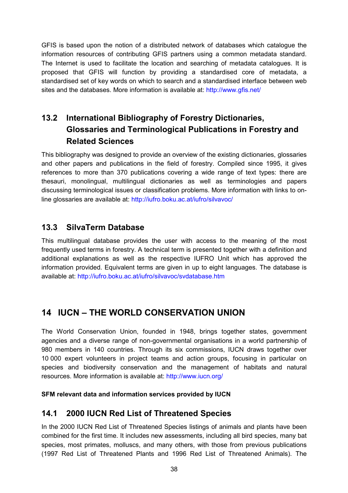GFIS is based upon the notion of a distributed network of databases which catalogue the information resources of contributing GFIS partners using a common metadata standard. The Internet is used to facilitate the location and searching of metadata catalogues. It is proposed that GFIS will function by providing a standardised core of metadata, a standardised set of key words on which to search and a standardised interface between web sites and the databases. More information is available at: http://www.gfis.net/

# <span id="page-37-0"></span>**13.2 International Bibliography of Forestry Dictionaries, Glossaries and Terminological Publications in Forestry and Related Sciences**

This bibliography was designed to provide an overview of the existing dictionaries, glossaries and other papers and publications in the field of forestry. Compiled since 1995, it gives references to more than 370 publications covering a wide range of text types: there are thesauri, monolingual, multilingual dictionaries as well as terminologies and papers discussing terminological issues or classification problems. More information with links to online glossaries are available at: http://iufro.boku.ac.at/iufro/silvavoc/

### <span id="page-37-1"></span>**13.3 SilvaTerm Database**

This multilingual database provides the user with access to the meaning of the most frequently used terms in forestry. A technical term is presented together with a definition and additional explanations as well as the respective IUFRO Unit which has approved the information provided. Equivalent terms are given in up to eight languages. The database is available at: http://iufro.boku.ac.at/iufro/silvavoc/svdatabase.htm

# <span id="page-37-2"></span>**14 IUCN – THE WORLD CONSERVATION UNION**

The World Conservation Union, founded in 1948, brings together states, government agencies and a diverse range of non-governmental organisations in a world partnership of 980 members in 140 countries. Through its six commissions, IUCN draws together over 10 000 expert volunteers in project teams and action groups, focusing in particular on species and biodiversity conservation and the management of habitats and natural resources. More information is available at: http://www.iucn.org/

#### **SFM relevant data and information services provided by IUCN**

### <span id="page-37-3"></span>**14.1 2000 IUCN Red List of Threatened Species**

In the 2000 IUCN Red List of Threatened Species listings of animals and plants have been combined for the first time. It includes new assessments, including all bird species, many bat species, most primates, molluscs, and many others, with those from previous publications (1997 Red List of Threatened Plants and 1996 Red List of Threatened Animals). The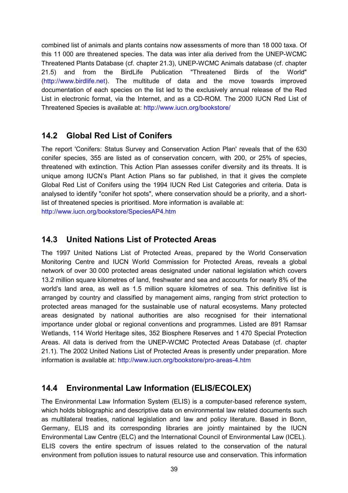combined list of animals and plants contains now assessments of more than 18 000 taxa. Of this 11 000 are threatened species. The data was inter alia derived from the UNEP-WCMC Threatened Plants Database (cf. chapter 21.3), UNEP-WCMC Animals database (cf. chapter 21.5) and from the BirdLife Publication "Threatened Birds of the World" (http://www.birdlife.net). The multitude of data and the move towards improved documentation of each species on the list led to the exclusively annual release of the Red List in electronic format, via the Internet, and as a CD-ROM. The 2000 IUCN Red List of Threatened Species is available at: http://www.iucn.org/bookstore/

### <span id="page-38-0"></span>**14.2 Global Red List of Conifers**

The report 'Conifers: Status Survey and Conservation Action Plan' reveals that of the 630 conifer species, 355 are listed as of conservation concern, with 200, or 25% of species, threatened with extinction. This Action Plan assesses conifer diversity and its threats. It is unique among IUCN's Plant Action Plans so far published, in that it gives the complete Global Red List of Conifers using the 1994 IUCN Red List Categories and criteria. Data is analysed to identify "conifer hot spots", where conservation should be a priority, and a shortlist of threatened species is prioritised. More information is available at:

http://www.iucn.org/bookstore/SpeciesAP4.htm

### <span id="page-38-1"></span>**14.3 United Nations List of Protected Areas**

The 1997 United Nations List of Protected Areas, prepared by the World Conservation Monitoring Centre and IUCN World Commission for Protected Areas, reveals a global network of over 30 000 protected areas designated under national legislation which covers 13.2 million square kilometres of land, freshwater and sea and accounts for nearly 8% of the world's land area, as well as 1.5 million square kilometres of sea. This definitive list is arranged by country and classified by management aims, ranging from strict protection to protected areas managed for the sustainable use of natural ecosystems. Many protected areas designated by national authorities are also recognised for their international importance under global or regional conventions and programmes. Listed are 891 Ramsar Wetlands, 114 World Heritage sites, 352 Biosphere Reserves and 1 470 Special Protection Areas. All data is derived from the UNEP-WCMC Protected Areas Database (cf. chapter 21.1). The 2002 United Nations List of Protected Areas is presently under preparation. More information is available at: http://www.iucn.org/bookstore/pro-areas-4.htm

### <span id="page-38-2"></span>**14.4 Environmental Law Information (ELIS/ECOLEX)**

The Environmental Law Information System (ELIS) is a computer-based reference system, which holds bibliographic and descriptive data on environmental law related documents such as multilateral treaties, national legislation and law and policy literature. Based in Bonn, Germany, ELIS and its corresponding libraries are jointly maintained by the IUCN Environmental Law Centre (ELC) and the International Council of Environmental Law (ICEL). ELIS covers the entire spectrum of issues related to the conservation of the natural environment from pollution issues to natural resource use and conservation. This information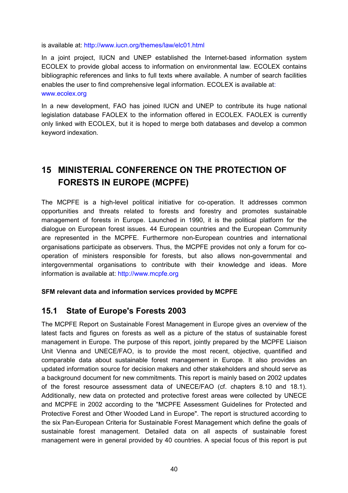is available at: http://www.iucn.org/themes/law/elc01.html

In a joint project, IUCN and UNEP established the Internet-based information system ECOLEX to provide global access to information on environmental law. ECOLEX contains bibliographic references and links to full texts where available. A number of search facilities enables the user to find comprehensive legal information. ECOLEX is available at: www.ecolex.org

In a new development, FAO has joined IUCN and UNEP to contribute its huge national legislation database FAOLEX to the information offered in ECOLEX. FAOLEX is currently only linked with ECOLEX, but it is hoped to merge both databases and develop a common keyword indexation.

# <span id="page-39-0"></span>**15 MINISTERIAL CONFERENCE ON THE PROTECTION OF FORESTS IN EUROPE (MCPFE)**

The MCPFE is a high-level political initiative for co-operation. It addresses common opportunities and threats related to forests and forestry and promotes sustainable management of forests in Europe. Launched in 1990, it is the political platform for the dialogue on European forest issues. 44 European countries and the European Community are represented in the MCPFE. Furthermore non-European countries and international organisations participate as observers. Thus, the MCPFE provides not only a forum for cooperation of ministers responsible for forests, but also allows non-governmental and intergovernmental organisations to contribute with their knowledge and ideas. More information is available at: http://www.mcpfe.org

#### **SFM relevant data and information services provided by MCPFE**

### <span id="page-39-1"></span>**15.1 State of Europe's Forests 2003**

The MCPFE Report on Sustainable Forest Management in Europe gives an overview of the latest facts and figures on forests as well as a picture of the status of sustainable forest management in Europe. The purpose of this report, jointly prepared by the MCPFE Liaison Unit Vienna and UNECE/FAO, is to provide the most recent, objective, quantified and comparable data about sustainable forest management in Europe. It also provides an updated information source for decision makers and other stakeholders and should serve as a background document for new commitments. This report is mainly based on 2002 updates of the forest resource assessment data of UNECE/FAO (cf. chapters 8.10 and 18.1). Additionally, new data on protected and protective forest areas were collected by UNECE and MCPFE in 2002 according to the "MCPFE Assessment Guidelines for Protected and Protective Forest and Other Wooded Land in Europe". The report is structured according to the six Pan-European Criteria for Sustainable Forest Management which define the goals of sustainable forest management. Detailed data on all aspects of sustainable forest management were in general provided by 40 countries. A special focus of this report is put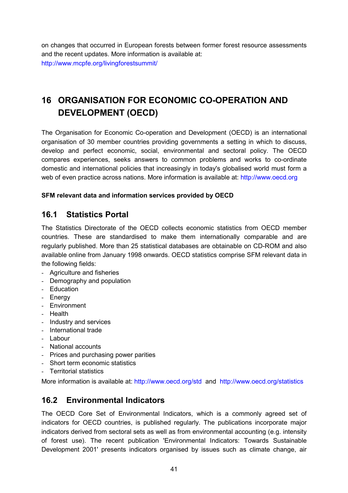on changes that occurred in European forests between former forest resource assessments and the recent updates. More information is available at: http://www.mcpfe.org/livingforestsummit/

# <span id="page-40-0"></span>**16 ORGANISATION FOR ECONOMIC CO-OPERATION AND DEVELOPMENT (OECD)**

The Organisation for Economic Co-operation and Development (OECD) is an international organisation of 30 member countries providing governments a setting in which to discuss, develop and perfect economic, social, environmental and sectoral policy. The OECD compares experiences, seeks answers to common problems and works to co-ordinate domestic and international policies that increasingly in today's globalised world must form a web of even practice across nations. More information is available at: http://www.oecd.org

#### **SFM relevant data and information services provided by OECD**

### <span id="page-40-1"></span>**16.1 Statistics Portal**

The Statistics Directorate of the OECD collects economic statistics from OECD member countries. These are standardised to make them internationally comparable and are regularly published. More than 25 statistical databases are obtainable on CD-ROM and also available online from January 1998 onwards. OECD statistics comprise SFM relevant data in the following fields:

- Agriculture and fisheries
- Demography and population
- Education
- Energy
- Environment
- Health
- Industry and services
- International trade
- Labour
- National accounts
- Prices and purchasing power parities
- Short term economic statistics
- Territorial statistics

More information is available at: http://www.oecd.org/std and http://www.oecd.org/statistics

### <span id="page-40-2"></span>**16.2 Environmental Indicators**

The OECD Core Set of Environmental Indicators, which is a commonly agreed set of indicators for OECD countries, is published regularly. The publications incorporate major indicators derived from sectoral sets as well as from environmental accounting (e.g. intensity of forest use). The recent publication 'Environmental Indicators: Towards Sustainable Development 2001' presents indicators organised by issues such as climate change, air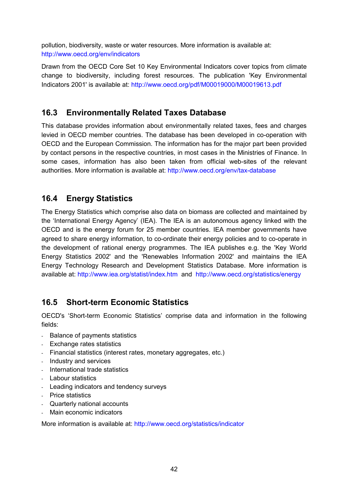pollution, biodiversity, waste or water resources. More information is available at: http://www.oecd.org/env/indicators

Drawn from the OECD Core Set 10 Key Environmental Indicators cover topics from climate change to biodiversity, including forest resources. The publication 'Key Environmental Indicators 2001' is available at: http://www.oecd.org/pdf/M00019000/M00019613.pdf

### <span id="page-41-0"></span>**16.3 Environmentally Related Taxes Database**

This database provides information about environmentally related taxes, fees and charges levied in OECD member countries. The database has been developed in co-operation with OECD and the European Commission. The information has for the major part been provided by contact persons in the respective countries, in most cases in the Ministries of Finance. In some cases, information has also been taken from official web-sites of the relevant authorities. More information is available at: http://www.oecd.org/env/tax-database

### <span id="page-41-1"></span>**16.4 Energy Statistics**

The Energy Statistics which comprise also data on biomass are collected and maintained by the 'International Energy Agency' (IEA). The IEA is an autonomous agency linked with the OECD and is the energy forum for 25 member countries. IEA member governments have agreed to share energy information, to co-ordinate their energy policies and to co-operate in the development of rational energy programmes. The IEA publishes e.g. the 'Key World Energy Statistics 2002' and the 'Renewables Information 2002' and maintains the IEA Energy Technology Research and Development Statistics Database. More information is available at: http://www.iea.org/statist/index.htm and http://www.oecd.org/statistics/energy

### <span id="page-41-2"></span>**16.5 Short-term Economic Statistics**

OECD's 'Short-term Economic Statistics' comprise data and information in the following fields:

- Balance of payments statistics
- Exchange rates statistics
- Financial statistics (interest rates, monetary aggregates, etc.)
- Industry and services
- International trade statistics
- Labour statistics
- Leading indicators and tendency surveys
- Price statistics
- Quarterly national accounts
- Main economic indicators

More information is available at: http://www.oecd.org/statistics/indicator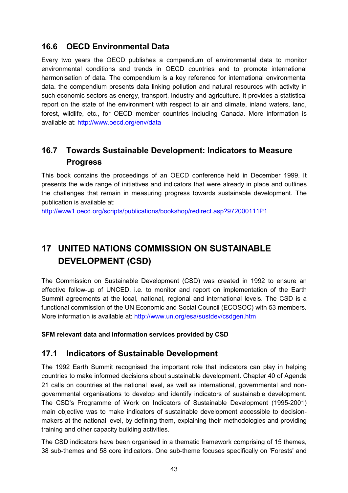### <span id="page-42-0"></span>**16.6 OECD Environmental Data**

Every two years the OECD publishes a compendium of environmental data to monitor environmental conditions and trends in OECD countries and to promote international harmonisation of data. The compendium is a key reference for international environmental data. the compendium presents data linking pollution and natural resources with activity in such economic sectors as energy, transport, industry and agriculture. It provides a statistical report on the state of the environment with respect to air and climate, inland waters, land, forest, wildlife, etc., for OECD member countries including Canada. More information is available at: http://www.oecd.org/env/data

### <span id="page-42-1"></span>**16.7 Towards Sustainable Development: Indicators to Measure Progress**

This book contains the proceedings of an OECD conference held in December 1999. It presents the wide range of initiatives and indicators that were already in place and outlines the challenges that remain in measuring progress towards sustainable development. The publication is available at:

http://www1.oecd.org/scripts/publications/bookshop/redirect.asp?972000111P1

# <span id="page-42-2"></span>**17 UNITED NATIONS COMMISSION ON SUSTAINABLE DEVELOPMENT (CSD)**

The Commission on Sustainable Development (CSD) was created in 1992 to ensure an effective follow-up of UNCED, i.e. to monitor and report on implementation of the Earth Summit agreements at the local, national, regional and international levels. The CSD is a functional commission of the UN Economic and Social Council (ECOSOC) with 53 members. More information is available at: http://www.un.org/esa/sustdev/csdgen.htm

**SFM relevant data and information services provided by CSD**

### <span id="page-42-3"></span>**17.1 Indicators of Sustainable Development**

The 1992 Earth Summit recognised the important role that indicators can play in helping countries to make informed decisions about sustainable development. Chapter 40 of Agenda 21 calls on countries at the national level, as well as international, governmental and nongovernmental organisations to develop and identify indicators of sustainable development. The CSD's Programme of Work on Indicators of Sustainable Development (1995-2001) main objective was to make indicators of sustainable development accessible to decisionmakers at the national level, by defining them, explaining their methodologies and providing training and other capacity building activities.

The CSD indicators have been organised in a thematic framework comprising of 15 themes, 38 sub-themes and 58 core indicators. One sub-theme focuses specifically on 'Forests' and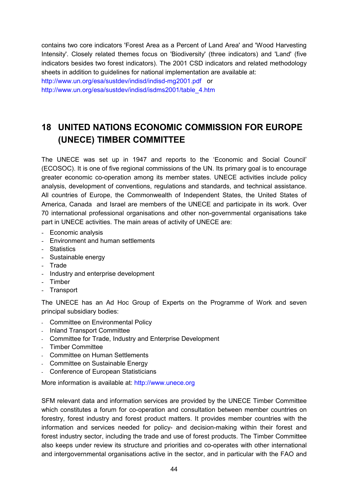contains two core indicators 'Forest Area as a Percent of Land Area' and 'Wood Harvesting Intensity'. Closely related themes focus on 'Biodiversity' (three indicators) and 'Land' (five indicators besides two forest indicators). The 2001 CSD indicators and related methodology sheets in addition to guidelines for national implementation are available at:

http://www.un.org/esa/sustdev/indisd/indisd-mg2001.pdf or http://www.un.org/esa/sustdev/indisd/isdms2001/table\_4.htm

# <span id="page-43-0"></span>**18 UNITED NATIONS ECONOMIC COMMISSION FOR EUROPE (UNECE) TIMBER COMMITTEE**

The UNECE was set up in 1947 and reports to the 'Economic and Social Council' (ECOSOC). It is one of five regional commissions of the UN. Its primary goal is to encourage greater economic co-operation among its member states. UNECE activities include policy analysis, development of conventions, regulations and standards, and technical assistance. All countries of Europe, the Commonwealth of Independent States, the United States of America, Canada and Israel are members of the UNECE and participate in its work. Over 70 international professional organisations and other non-governmental organisations take part in UNECE activities. The main areas of activity of UNECE are:

- Economic analysis
- Environment and human settlements
- Statistics
- Sustainable energy
- Trade
- Industry and enterprise development
- Timber
- Transport

The UNECE has an Ad Hoc Group of Experts on the Programme of Work and seven principal subsidiary bodies:

- Committee on Environmental Policy
- Inland Transport Committee
- Committee for Trade, Industry and Enterprise Development
- Timber Committee
- Committee on Human Settlements
- Committee on Sustainable Energy
- Conference of European Statisticians

More information is available at: [http://www.unece.org](http://www.unece.org/)

SFM relevant data and information services are provided by the UNECE Timber Committee which constitutes a forum for co-operation and consultation between member countries on forestry, forest industry and forest product matters. It provides member countries with the information and services needed for policy- and decision-making within their forest and forest industry sector, including the trade and use of forest products. The Timber Committee also keeps under review its structure and priorities and co-operates with other international and intergovernmental organisations active in the sector, and in particular with the FAO and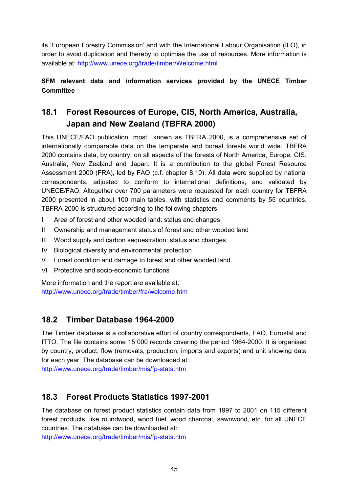its 'European Forestry Commission' and with the International Labour Organisation (ILO), in order to avoid duplication and thereby to optimise the use of resources. More information is available at: http://www.unece.org/trade/timber/Welcome.html

#### **SFM relevant data and information services provided by the UNECE Timber Committee**

# <span id="page-44-0"></span>**18.1 Forest Resources of Europe, CIS, North America, Australia, Japan and New Zealand (TBFRA 2000)**

This UNECE/FAO publication, most known as TBFRA 2000, is a comprehensive set of internationally comparable data on the temperate and boreal forests world wide. TBFRA 2000 contains data, by country, on all aspects of the forests of North America, Europe, CIS. Australia, New Zealand and Japan. It is a contribution to the global Forest Resource Assessment 2000 (FRA), led by FAO (c.f. chapter 8.10). All data were supplied by national correspondents, adjusted to conform to international definitions, and validated by UNECE/FAO. Altogether over 700 parameters were requested for each country for TBFRA 2000 presented in about 100 main tables, with statistics and comments by 55 countries. TBFRA 2000 is structured according to the following chapters:

- I Area of forest and other wooded land: status and changes
- II Ownership and management status of forest and other wooded land
- III Wood supply and carbon sequestration: status and changes
- IV Biological diversity and environmental protection
- V Forest condition and damage to forest and other wooded land
- VI Protective and socio-economic functions

More information and the report are available at: http://www.unece.org/trade/timber/fra/welcome.htm

### <span id="page-44-1"></span>**18.2 Timber Database 1964-2000**

The Timber database is a collaborative effort of country correspondents, FAO, Eurostat and ITTO. The file contains some 15 000 records covering the period 1964-2000. It is organised by country, product, flow (removals, production, imports and exports) and unit showing data for each year. The database can be downloaded at:

http://www.unece.org/trade/timber/mis/fp-stats.htm

### <span id="page-44-2"></span>**18.3 Forest Products Statistics 1997-2001**

The database on forest product statistics contain data from 1997 to 2001 on 115 different forest products, like roundwood, wood fuel, wood charcoal, sawnwood, etc. for all UNECE countries. The database can be downloaded at:

http://www.unece.org/trade/timber/mis/fp-stats.htm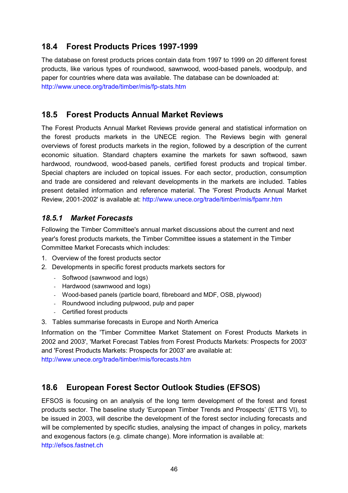### <span id="page-45-0"></span>**18.4 Forest Products Prices 1997-1999**

The database on forest products prices contain data from 1997 to 1999 on 20 different forest products, like various types of roundwood, sawnwood, wood-based panels, woodpulp, and paper for countries where data was available. The database can be downloaded at: http://www.unece.org/trade/timber/mis/fp-stats.htm

### <span id="page-45-1"></span>**18.5 Forest Products Annual Market Reviews**

The Forest Products Annual Market Reviews provide general and statistical information on the forest products markets in the UNECE region. The Reviews begin with general overviews of forest products markets in the region, followed by a description of the current economic situation. Standard chapters examine the markets for sawn softwood, sawn hardwood, roundwood, wood-based panels, certified forest products and tropical timber. Special chapters are included on topical issues. For each sector, production, consumption and trade are considered and relevant developments in the markets are included. Tables present detailed information and reference material. The 'Forest Products Annual Market Review, 2001-2002' is available at: http://www.unece.org/trade/timber/mis/fpamr.htm

#### <span id="page-45-2"></span>*18.5.1 Market Forecasts*

Following the Timber Committee's annual market discussions about the current and next year's forest products markets, the Timber Committee issues a statement in the Timber Committee Market Forecasts which includes:

- 1. Overview of the forest products sector
- 2. Developments in specific forest products markets sectors for
	- Softwood (sawnwood and logs)
	- Hardwood (sawnwood and logs)
	- Wood-based panels (particle board, fibreboard and MDF, OSB, plywood)
	- Roundwood including pulpwood, pulp and paper
	- Certified forest products
- 3. Tables summarise forecasts in Europe and North America

Information on the 'Timber Committee Market Statement on Forest Products Markets in 2002 and 2003', 'Market Forecast Tables from Forest Products Markets: Prospects for 2003' and 'Forest Products Markets: Prospects for 2003' are available at:

http://www.unece.org/trade/timber/mis/forecasts.htm

### <span id="page-45-3"></span>**18.6 European Forest Sector Outlook Studies (EFSOS)**

EFSOS is focusing on an analysis of the long term development of the forest and forest products sector. The baseline study 'European Timber Trends and Prospects' (ETTS VI), to be issued in 2003, will describe the development of the forest sector including forecasts and will be complemented by specific studies, analysing the impact of changes in policy, markets and exogenous factors (e.g. climate change). More information is available at:

http://efsos.fastnet.ch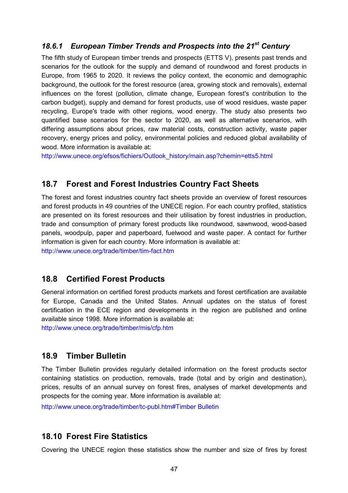### <span id="page-46-0"></span>*18.6.1 European Timber Trends and Prospects into the 21st Century*

The fifth study of European timber trends and prospects (ETTS V), presents past trends and scenarios for the outlook for the supply and demand of roundwood and forest products in Europe, from 1965 to 2020. It reviews the policy context, the economic and demographic background, the outlook for the forest resource (area, growing stock and removals), external influences on the forest (pollution, climate change, European forest's contribution to the carbon budget), supply and demand for forest products, use of wood residues, waste paper recycling, Europe's trade with other regions, wood energy. The study also presents two quantified base scenarios for the sector to 2020, as well as alternative scenarios, with differing assumptions about prices, raw material costs, construction activity, waste paper recovery, energy prices and policy, environmental policies and reduced global availability of wood. More information is available at:

http://www.unece.org/efsos/fichiers/Outlook\_history/main.asp?chemin=etts5.html

### <span id="page-46-1"></span>**18.7 Forest and Forest Industries Country Fact Sheets**

The forest and forest industries country fact sheets provide an overview of forest resources and forest products in 49 countries of the UNECE region. For each country profiled, statistics are presented on its forest resources and their utilisation by forest industries in production, trade and consumption of primary forest products like roundwood, sawnwood, wood-based panels, woodpulp, paper and paperboard, fuelwood and waste paper. A contact for further information is given for each country. More information is available at:

http://www.unece.org/trade/timber/tim-fact.htm

### <span id="page-46-2"></span>**18.8 Certified Forest Products**

General information on certified forest products markets and forest certification are available for Europe, Canada and the United States. Annual updates on the status of forest certification in the ECE region and developments in the region are published and online available since 1998. More information is available at: http://www.unece.org/trade/timber/mis/cfp.htm

### <span id="page-46-3"></span>**18.9 Timber Bulletin**

The Timber Bulletin provides regularly detailed information on the forest products sector containing statistics on production, removals, trade (total and by origin and destination), prices, results of an annual survey on forest fires, analyses of market developments and prospects for the coming year. More information is available at:

http://www.unece.org/trade/timber/tc-publ.htm#Timber Bulletin

### <span id="page-46-4"></span>**18.10 Forest Fire Statistics**

Covering the UNECE region these statistics show the number and size of fires by forest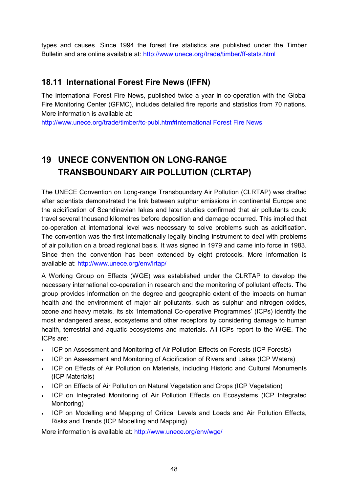types and causes. Since 1994 the forest fire statistics are published under the Timber Bulletin and are online available at: http://www.unece.org/trade/timber/ff-stats.html

### <span id="page-47-0"></span>**18.11 International Forest Fire News (IFFN)**

The International Forest Fire News, published twice a year in co-operation with the Global Fire Monitoring Center (GFMC), includes detailed fire reports and statistics from 70 nations. More information is available at:

http://www.unece.org/trade/timber/tc-publ.htm#International Forest Fire News

# <span id="page-47-1"></span>**19 UNECE CONVENTION ON LONG-RANGE TRANSBOUNDARY AIR POLLUTION (CLRTAP)**

The UNECE Convention on Long-range Transboundary Air Pollution (CLRTAP) was drafted after scientists demonstrated the link between sulphur emissions in continental Europe and the acidification of Scandinavian lakes and later studies confirmed that air pollutants could travel several thousand kilometres before deposition and damage occurred. This implied that co-operation at international level was necessary to solve problems such as acidification. The convention was the first internationally legally binding instrument to deal with problems of air pollution on a broad regional basis. It was signed in 1979 and came into force in 1983. Since then the convention has been extended by eight protocols. More information is available at: http://www.unece.org/env/lrtap/

A Working Group on Effects (WGE) was established under the CLRTAP to develop the necessary international co-operation in research and the monitoring of pollutant effects. The group provides information on the degree and geographic extent of the impacts on human health and the environment of major air pollutants, such as sulphur and nitrogen oxides, ozone and heavy metals. Its six 'International Co-operative Programmes' (ICPs) identify the most endangered areas, ecosystems and other receptors by considering damage to human health, terrestrial and aquatic ecosystems and materials. All ICPs report to the WGE. The ICPs are:

- ICP on Assessment and Monitoring of Air Pollution Effects on Forests (ICP Forests)
- ICP on Assessment and Monitoring of Acidification of Rivers and Lakes (ICP Waters)
- ICP on Effects of Air Pollution on Materials, including Historic and Cultural Monuments (ICP Materials)
- ICP on Effects of Air Pollution on Natural Vegetation and Crops (ICP Vegetation)
- ICP on Integrated Monitoring of Air Pollution Effects on Ecosystems (ICP Integrated Monitoring)
- ICP on Modelling and Mapping of Critical Levels and Loads and Air Pollution Effects, Risks and Trends (ICP Modelling and Mapping)

More information is available at: http://www.unece.org/env/wge/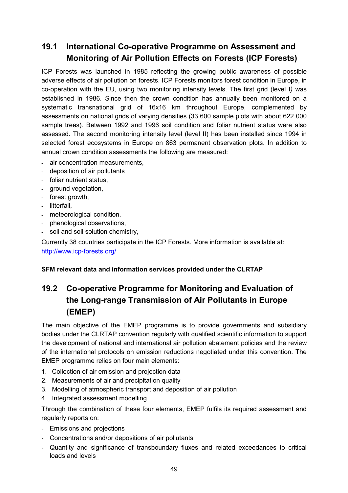### <span id="page-48-0"></span>**19.1 International Co-operative Programme on Assessment and Monitoring of Air Pollution Effects on Forests (ICP Forests)**

ICP Forests was launched in 1985 reflecting the growing public awareness of possible adverse effects of air pollution on forests. ICP Forests monitors forest condition in Europe, in co-operation with the EU, using two monitoring intensity levels. The first grid (level I*)* was established in 1986. Since then the crown condition has annually been monitored on a systematic transnational grid of 16x16 km throughout Europe, complemented by assessments on national grids of varying densities (33 600 sample plots with about 622 000 sample trees). Between 1992 and 1996 soil condition and foliar nutrient status were also assessed. The second monitoring intensity level (level II) has been installed since 1994 in selected forest ecosystems in Europe on 863 permanent observation plots. In addition to annual crown condition assessments the following are measured:

- air concentration measurements.
- deposition of air pollutants
- foliar nutrient status,
- ground vegetation,
- forest growth,
- litterfall,
- meteorological condition,
- phenological observations,
- soil and soil solution chemistry,

Currently 38 countries participate in the ICP Forests. More information is available at: http://www.icp-forests.org/

#### **SFM relevant data and information services provided under the CLRTAP**

# <span id="page-48-1"></span>**19.2 Co-operative Programme for Monitoring and Evaluation of the Long-range Transmission of Air Pollutants in Europe (EMEP)**

The main objective of the EMEP programme is to provide governments and subsidiary bodies under the CLRTAP convention regularly with qualified scientific information to support the development of national and international air pollution abatement policies and the review of the international protocols on emission reductions negotiated under this convention. The EMEP programme relies on four main elements:

- 1. Collection of air emission and projection data
- 2. Measurements of air and precipitation quality
- 3. Modelling of atmospheric transport and deposition of air pollution
- 4. Integrated assessment modelling

Through the combination of these four elements, EMEP fulfils its required assessment and regularly reports on:

- Emissions and projections
- Concentrations and/or depositions of air pollutants
- Quantity and significance of transboundary fluxes and related exceedances to critical loads and levels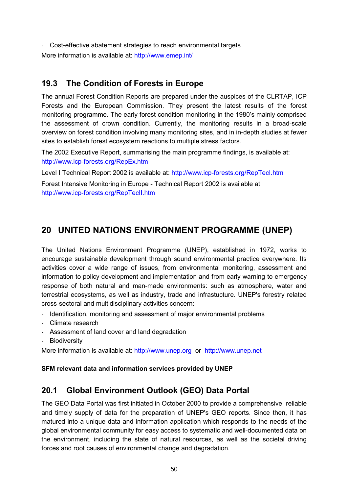- Cost-effective abatement strategies to reach environmental targets More information is available at: http://www.emep.int/

### <span id="page-49-0"></span>**19.3 The Condition of Forests in Europe**

The annual Forest Condition Reports are prepared under the auspices of the CLRTAP, ICP Forests and the European Commission. They present the latest results of the forest monitoring programme. The early forest condition monitoring in the 1980's mainly comprised the assessment of crown condition. Currently, the monitoring results in a broad-scale overview on forest condition involving many monitoring sites, and in in-depth studies at fewer sites to establish forest ecosystem reactions to multiple stress factors.

The 2002 Executive Report, summarising the main programme findings, is available at: http://www.icp-forests.org/RepEx.htm

Level I Technical Report 2002 is available at: http://www.icp-forests.org/RepTecI.htm

Forest Intensive Monitoring in Europe - Technical Report 2002 is available at: http://www.icp-forests.org/RepTecII.htm

## <span id="page-49-1"></span>**20 UNITED NATIONS ENVIRONMENT PROGRAMME (UNEP)**

The United Nations Environment Programme (UNEP), established in 1972, works to encourage sustainable development through sound environmental practice everywhere. Its activities cover a wide range of issues, from environmental monitoring, assessment and information to policy development and implementation and from early warning to emergency response of both natural and man-made environments: such as atmosphere, water and terrestrial ecosystems, as well as industry, trade and infrastucture. UNEP's forestry related cross-sectoral and multidisciplinary activities concern:

- Identification, monitoring and assessment of major environmental problems
- Climate research
- Assessment of land cover and land degradation
- Biodiversity

More information is available at: http://www.unep.org or http://www.unep.net

#### **SFM relevant data and information services provided by UNEP**

### <span id="page-49-2"></span>**20.1 Global Environment Outlook (GEO) Data Portal**

The GEO Data Portal was first initiated in October 2000 to provide a comprehensive, reliable and timely supply of data for the preparation of UNEP's GEO reports. Since then, it has matured into a unique data and information application which responds to the needs of the global environmental community for easy access to systematic and well-documented data on the environment, including the state of natural resources, as well as the societal driving forces and root causes of environmental change and degradation.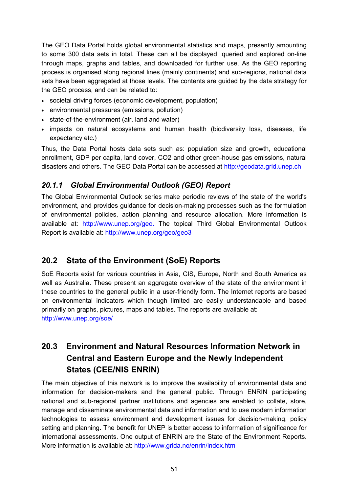The GEO Data Portal holds global environmental statistics and maps, presently amounting to some 300 data sets in total. These can all be displayed, queried and explored on-line through maps, graphs and tables, and downloaded for further use. As the GEO reporting process is organised along regional lines (mainly continents) and sub-regions, national data sets have been aggregated at those levels. The contents are guided by the data strategy for the GEO process, and can be related to:

- societal driving forces (economic development, population)
- environmental pressures (emissions, pollution)
- state-of-the-environment (air, land and water)
- impacts on natural ecosystems and human health (biodiversity loss, diseases, life expectancy etc.)

Thus, the Data Portal hosts data sets such as: population size and growth, educational enrollment, GDP per capita, land cover, CO2 and other green-house gas emissions, natural disasters and others. The GEO Data Portal can be accessed at http://geodata.grid.unep.ch

#### <span id="page-50-0"></span>*20.1.1 Global Environmental Outlook (GEO) Report*

The Global Environmental Outlook series make periodic reviews of the state of the world's environment, and provides guidance for decision-making processes such as the formulation of environmental policies, action planning and resource allocation. More information is available at: http://www.unep.org/geo. The topical Third Global Environmental Outlook Report is available at: http://www.unep.org/geo/geo3

### <span id="page-50-1"></span>**20.2 State of the Environment (SoE) Reports**

SoE Reports exist for various countries in Asia, CIS, Europe, North and South America as well as Australia. These present an aggregate overview of the state of the environment in these countries to the general public in a user-friendly form. The Internet reports are based on environmental indicators which though limited are easily understandable and based primarily on graphs, pictures, maps and tables. The reports are available at: http://www.unep.org/soe/

## <span id="page-50-2"></span>**20.3 Environment and Natural Resources Information Network in Central and Eastern Europe and the Newly Independent States (CEE/NIS ENRIN)**

The main objective of this network is to improve the availability of environmental data and information for decision-makers and the general public. Through ENRIN participating national and sub-regional partner institutions and agencies are enabled to collate, store, manage and disseminate environmental data and information and to use modern information technologies to assess environment and development issues for decision-making, policy setting and planning. The benefit for UNEP is better access to information of significance for international assessments. One output of ENRIN are the State of the Environment Reports. More information is available at: http://www.grida.no/enrin/index.htm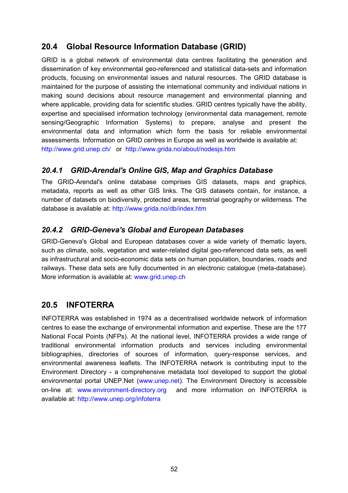### <span id="page-51-0"></span>**20.4 Global Resource Information Database (GRID)**

GRID is a global network of environmental data centres facilitating the generation and dissemination of key environmental geo-referenced and statistical data-sets and information products, focusing on environmental issues and natural resources. The GRID database is maintained for the purpose of assisting the international community and individual nations in making sound decisions about resource management and environmental planning and where applicable, providing data for scientific studies. GRID centres typically have the ability, expertise and specialised information technology (environmental data management, remote sensing/Geographic Information Systems) to prepare, analyse and present the environmental data and information which form the basis for reliable environmental assessments. Information on GRID centres in Europe as well as worldwide is available at: http://www.grid.unep.ch/ or http://www.grida.no/about/nodesjs.htm

### <span id="page-51-1"></span>*20.4.1 GRID-Arendal's Online GIS, Map and Graphics Database*

The GRID-Arendal's online database comprises GIS datasets, maps and graphics, metadata, reports as well as other GIS links. The GIS datasets contain, for instance, a number of datasets on biodiversity, protected areas, terrestrial geography or wilderness. The database is available at: http://www.grida.no/db/index.htm

### <span id="page-51-2"></span>*20.4.2 GRID-Geneva's Global and European Databases*

GRID-Geneva's Global and European databases cover a wide variety of thematic layers, such as climate, soils, vegetation and water-related digital geo-referenced data sets, as well as infrastructural and socio-economic data sets on human population, boundaries, roads and railways. These data sets are fully documented in an electronic catalogue (meta-database). More information is available at: www.grid.unep.ch

### <span id="page-51-3"></span>**20.5 INFOTERRA**

INFOTERRA was established in 1974 as a decentralised worldwide network of information centres to ease the exchange of environmental information and expertise. These are the 177 National Focal Points (NFPs). At the national level, INFOTERRA provides a wide range of traditional environmental information products and services including environmental bibliographies, directories of sources of information, query-response services, and environmental awareness leaflets. The INFOTERRA network is contributing input to the Environment Directory - a comprehensive metadata tool developed to support the global environmental portal UNEP.Net (www.unep.net). The Environment Directory is accessible on-line at: www.environment-directory.org and more information on INFOTERRA is available at: http://www.unep.org/infoterra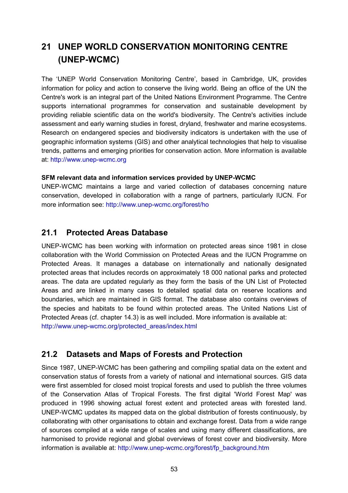# <span id="page-52-0"></span>**21 UNEP WORLD CONSERVATION MONITORING CENTRE (UNEP-WCMC)**

The 'UNEP World Conservation Monitoring Centre', based in Cambridge, UK, provides information for policy and action to conserve the living world. Being an office of the UN the Centre's work is an integral part of the United Nations Environment Programme. The Centre supports international programmes for conservation and sustainable development by providing reliable scientific data on the world's biodiversity. The Centre's activities include assessment and early warning studies in forest, dryland, freshwater and marine ecosystems. Research on endangered species and biodiversity indicators is undertaken with the use of geographic information systems (GIS) and other analytical technologies that help to visualise trends, patterns and emerging priorities for conservation action. More information is available at: http://www.unep-wcmc.org

#### **SFM relevant data and information services provided by UNEP-WCMC**

UNEP-WCMC maintains a large and varied collection of databases concerning nature conservation, developed in collaboration with a range of partners, particularly IUCN. For more information see: http://www.unep-wcmc.org/forest/ho

### <span id="page-52-1"></span>**21.1 Protected Areas Database**

UNEP-WCMC has been working with information on protected areas since 1981 in close collaboration with the World Commission on Protected Areas and the IUCN Programme on Protected Areas. It manages a database on internationally and nationally designated protected areas that includes records on approximately 18 000 national parks and protected areas. The data are updated regularly as they form the basis of the UN List of Protected Areas and are linked in many cases to detailed spatial data on reserve locations and boundaries, which are maintained in GIS format. The database also contains overviews of the species and habitats to be found within protected areas. The United Nations List of Protected Areas (cf. chapter 14.3) is as well included. More information is available at: http://www.unep-wcmc.org/protected\_areas/index.html

### <span id="page-52-2"></span>**21.2 Datasets and Maps of Forests and Protection**

Since 1987, UNEP-WCMC has been gathering and compiling spatial data on the extent and conservation status of forests from a variety of national and international sources. GIS data were first assembled for closed moist tropical forests and used to publish the three volumes of the Conservation Atlas of Tropical Forests. The first digital 'World Forest Map' was produced in 1996 showing actual forest extent and protected areas with forested land. UNEP-WCMC updates its mapped data on the global distribution of forests continuously, by collaborating with other organisations to obtain and exchange forest. Data from a wide range of sources compiled at a wide range of scales and using many different classifications, are harmonised to provide regional and global overviews of forest cover and biodiversity. More information is available at: http://www.unep-wcmc.org/forest/fp\_background.htm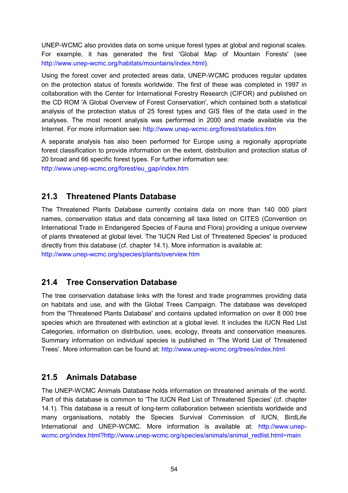UNEP-WCMC also provides data on some unique forest types at global and regional scales. For example, it has generated the first 'Global Map of Mountain Forests' (see http://www.unep-wcmc.org/habitats/mountains/index.html).

Using the forest cover and protected areas data, UNEP-WCMC produces regular updates on the protection status of forests worldwide. The first of these was completed in 1997 in collaboration with the Center for International Forestry Research (CIFOR) and published on the CD ROM 'A Global Overview of Forest Conservation', which contained both a statistical analysis of the protection status of 25 forest types and GIS files of the data used in the analyses. The most recent analysis was performed in 2000 and made available via the Internet. For more information see: http://www.unep-wcmc.org/forest/statistics.htm

A separate analysis has also been performed for Europe using a regionally appropriate forest classification to provide information on the extent, distribution and protection status of 20 broad and 66 specific forest types. For further information see:

http://www.unep-wcmc.org/forest/eu\_gap/index.htm

### <span id="page-53-0"></span>**21.3 Threatened Plants Database**

The Threatened Plants Database currently contains data on more than 140 000 plant names, conservation status and data concerning all taxa listed on CITES (Convention on International Trade in Endangered Species of Fauna and Flora) providing a unique overview of plants threatened at global level. The 'IUCN Red List of Threatened Species' is produced directly from this database (cf. chapter 14.1). More information is available at: http://www.unep-wcmc.org/species/plants/overview.htm

### <span id="page-53-1"></span>**21.4 Tree Conservation Database**

The tree conservation database links with the forest and trade programmes providing data on habitats and use, and with the Global Trees Campaign. The database was developed from the 'Threatened Plants Database' and contains updated information on over 8 000 tree species which are threatened with extinction at a global level. It includes the IUCN Red List Categories, information on distribution, uses, ecology, threats and conservation measures. Summary information on individual species is published in 'The World List of Threatened Trees'. More information can be found at: http://www.unep-wcmc.org/trees/index.html

### <span id="page-53-2"></span>**21.5 Animals Database**

The UNEP-WCMC Animals Database holds information on threatened animals of the world. Part of this database is common to 'The IUCN Red List of Threatened Species' (cf. chapter 14.1). This database is a result of long-term collaboration between scientists worldwide and many organisations, notably the Species Survival Commission of IUCN, BirdLife International and UNEP-WCMC. More information is available at: http://www.unepwcmc.org/index.html?http://www.unep-wcmc.org/species/animals/animal\_redlist.html~main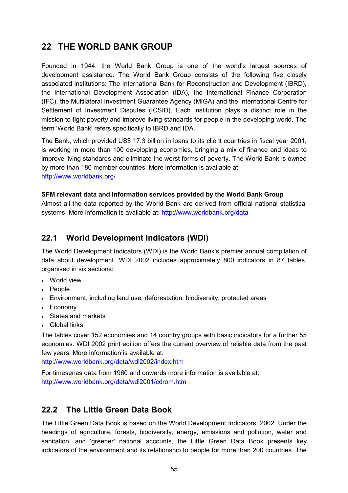### <span id="page-54-0"></span>**22 THE WORLD BANK GROUP**

Founded in 1944, the World Bank Group is one of the world's largest sources of development assistance. The World Bank Group consists of the following five closely associated institutions: The International Bank for Reconstruction and Development (IBRD), the International Development Association (IDA), the International Finance Corporation (IFC), the Multilateral Investment Guarantee Agency (MIGA) and the International Centre for Settlement of Investment Disputes (ICSID). Each institution plays a distinct role in the mission to fight poverty and improve living standards for people in the developing world. The term 'World Bank' refers specifically to IBRD and IDA.

The Bank, which provided US\$ 17.3 billion in loans to its client countries in fiscal year 2001, is working in more than 100 developing economies, bringing a mix of finance and ideas to improve living standards and eliminate the worst forms of poverty. The World Bank is owned by more than 180 member countries. More information is available at: http://www.worldbank.org/

#### **SFM relevant data and information services provided by the World Bank Group**

Almost all the data reported by the World Bank are derived from official national statistical systems. More information is available at: http://www.worldbank.org/data

### <span id="page-54-1"></span>**22.1 World Development Indicators (WDI)**

The World Development Indicators (WDI) is the World Bank's premier annual compilation of data about development. WDI 2002 includes approximately 800 indicators in 87 tables, organised in six sections:

- World view
- People
- Environment, including land use, deforestation, biodiversity, protected areas
- Economy
- States and markets
- Global links

The tables cover 152 economies and 14 country groups with basic indicators for a further 55 economies. WDI 2002 print edition offers the current overview of reliable data from the past few years. More information is available at:

http://www.worldbank.org/data/wdi2002/index.htm

For timeseries data from 1960 and onwards more information is available at: http://www.worldbank.org/data/wdi2001/cdrom.htm

### <span id="page-54-2"></span>**22.2 The Little Green Data Book**

The Little Green Data Book is based on the World Development Indicators, 2002. Under the headings of agriculture, forests, biodiversity, energy, emissions and pollution, water and sanitation, and 'greener' national accounts, the Little Green Data Book presents key indicators of the environment and its relationship to people for more than 200 countries. The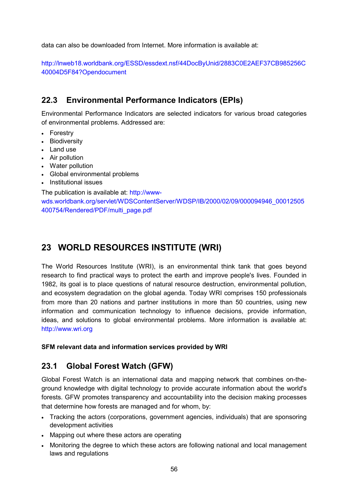data can also be downloaded from Internet. More information is available at:

http://lnweb18.worldbank.org/ESSD/essdext.nsf/44DocByUnid/2883C0E2AEF37CB985256C 40004D5F84?Opendocument

### <span id="page-55-0"></span>**22.3 Environmental Performance Indicators (EPIs)**

Environmental Performance Indicators are selected indicators for various broad categories of environmental problems. Addressed are:

- Forestry
- Biodiversity
- Land use
- Air pollution
- Water pollution
- Global environmental problems
- Institutional issues

The publication is available at: http://www-

wds.worldbank.org/servlet/WDSContentServer/WDSP/IB/2000/02/09/000094946\_00012505 400754/Rendered/PDF/multi\_page.pdf

# <span id="page-55-1"></span>**23 WORLD RESOURCES INSTITUTE (WRI)**

The World Resources Institute (WRI), is an environmental think tank that goes beyond research to find practical ways to protect the earth and improve people's lives. Founded in 1982, its goal is to place questions of natural resource destruction, environmental pollution, and ecosystem degradation on the global agenda. Today WRI comprises 150 professionals from more than 20 nations and partner institutions in more than 50 countries, using new information and communication technology to influence decisions, provide information, ideas, and solutions to global environmental problems. More information is available at: http://www.wri.org

#### **SFM relevant data and information services provided by WRI**

### <span id="page-55-2"></span>**23.1 Global Forest Watch (GFW)**

Global Forest Watch is an international data and mapping network that combines on-theground knowledge with digital technology to provide accurate information about the world's forests. GFW promotes transparency and accountability into the decision making processes that determine how forests are managed and for whom, by:

- Tracking the actors (corporations, government agencies, individuals) that are sponsoring development activities
- Mapping out where these actors are operating
- Monitoring the degree to which these actors are following national and local management laws and regulations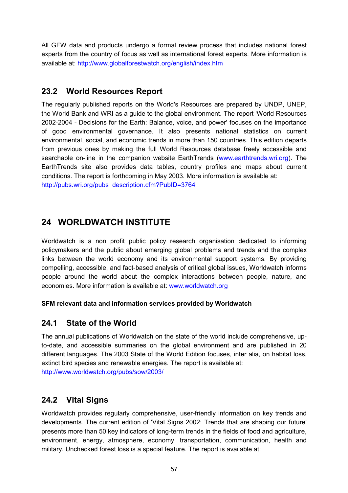All GFW data and products undergo a formal review process that includes national forest experts from the country of focus as well as international forest experts. More information is available at: http://www.globalforestwatch.org/english/index.htm

### <span id="page-56-0"></span>**23.2 World Resources Report**

The regularly published reports on the World's Resources are prepared by UNDP, UNEP, the World Bank and WRI as a guide to the global environment. The report 'World Resources 2002-2004 - Decisions for the Earth: Balance, voice, and power' focuses on the importance of good environmental governance. It also presents national statistics on current environmental, social, and economic trends in more than 150 countries. This edition departs from previous ones by making the full World Resources database freely accessible and searchable on-line in the companion website EarthTrends (www.earthtrends.wri.org). The EarthTrends site also provides data tables, country profiles and maps about current conditions. The report is forthcoming in May 2003. More information is available at: http://pubs.wri.org/pubs\_description.cfm?PubID=3764

## <span id="page-56-1"></span>**24 WORLDWATCH INSTITUTE**

Worldwatch is a non profit public policy research organisation dedicated to informing policymakers and the public about emerging global problems and trends and the complex links between the world economy and its environmental support systems. By providing compelling, accessible, and fact-based analysis of critical global issues, Worldwatch informs people around the world about the complex interactions between people, nature, and economies. More information is available at: www.worldwatch.org

#### <span id="page-56-2"></span>**SFM relevant data and information services provided by Worldwatch**

### **24.1 State of the World**

The annual publications of Worldwatch on the state of the world include comprehensive, upto-date, and accessible summaries on the global environment and are published in 20 different languages. The 2003 State of the World Edition focuses, inter alia, on habitat loss, extinct bird species and renewable energies. The report is available at: http://www.worldwatch.org/pubs/sow/2003/

### <span id="page-56-3"></span>**24.2 Vital Signs**

Worldwatch provides regularly comprehensive, user-friendly information on key trends and developments. The current edition of 'Vital Signs 2002: Trends that are shaping our future' presents more than 50 key indicators of long-term trends in the fields of food and agriculture, environment, energy, atmosphere, economy, transportation, communication, health and military. Unchecked forest loss is a special feature. The report is available at: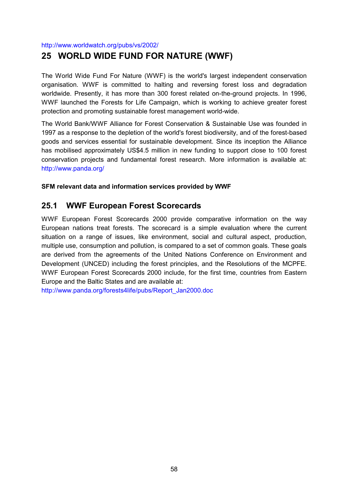<span id="page-57-0"></span>http://www.worldwatch.org/pubs/vs/2002/

### **25 WORLD WIDE FUND FOR NATURE (WWF)**

The World Wide Fund For Nature (WWF) is the world's largest independent conservation organisation. WWF is committed to halting and reversing forest loss and degradation worldwide. Presently, it has more than 300 forest related on-the-ground projects. In 1996, WWF launched the Forests for Life Campaign, which is working to achieve greater forest protection and promoting sustainable forest management world-wide.

The World Bank/WWF Alliance for Forest Conservation & Sustainable Use was founded in 1997 as a response to the depletion of the world's forest biodiversity, and of the forest-based goods and services essential for sustainable development. Since its inception the Alliance has mobilised approximately US\$4.5 million in new funding to support close to 100 forest conservation projects and fundamental forest research. More information is available at: http://www.panda.org/

#### **SFM relevant data and information services provided by WWF**

### <span id="page-57-1"></span>**25.1 WWF European Forest Scorecards**

WWF European Forest Scorecards 2000 provide comparative information on the way European nations treat forests. The scorecard is a simple evaluation where the current situation on a range of issues, like environment, social and cultural aspect, production, multiple use, consumption and pollution, is compared to a set of common goals. These goals are derived from the agreements of the United Nations Conference on Environment and Development (UNCED) including the forest principles, and the Resolutions of the MCPFE. WWF European Forest Scorecards 2000 include, for the first time, countries from Eastern Europe and the Baltic States and are available at:

http://www.panda.org/forests4life/pubs/Report\_Jan2000.doc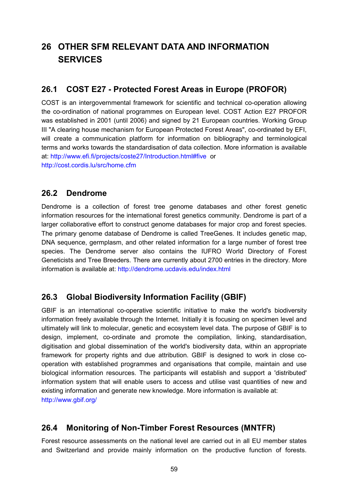# <span id="page-58-0"></span>**26 OTHER SFM RELEVANT DATA AND INFORMATION SERVICES**

### <span id="page-58-1"></span>**26.1 COST E27 - Protected Forest Areas in Europe (PROFOR)**

COST is an intergovernmental framework for scientific and technical co-operation allowing the co-ordination of national programmes on European level. COST Action E27 PROFOR was established in 2001 (until 2006) and signed by 21 European countries. Working Group III "A clearing house mechanism for European Protected Forest Areas", co-ordinated by EFI, will create a communication platform for information on bibliography and terminological terms and works towards the standardisation of data collection. More information is available at: http://www.efi.fi/projects/coste27/Introduction.html#five or http://cost.cordis.lu/src/home.cfm

### <span id="page-58-2"></span>**26.2 Dendrome**

Dendrome is a collection of forest tree genome databases and other forest genetic information resources for the international forest genetics community. Dendrome is part of a larger collaborative effort to construct genome databases for major crop and forest species. The primary genome database of Dendrome is called TreeGenes. It includes genetic map, DNA sequence, germplasm, and other related information for a large number of forest tree species. The Dendrome server also contains the IUFRO World Directory of Forest Geneticists and Tree Breeders. There are currently about 2700 entries in the directory. More information is available at: http://dendrome.ucdavis.edu/index.html

### <span id="page-58-3"></span>**26.3 Global Biodiversity Information Facility (GBIF)**

GBIF is an international co-operative scientific initiative to make the world's biodiversity information freely available through the Internet. Initially it is focusing on specimen level and ultimately will link to molecular, genetic and ecosystem level data. The purpose of GBIF is to design, implement, co-ordinate and promote the compilation, linking, standardisation, digitisation and global dissemination of the world's biodiversity data, within an appropriate framework for property rights and due attribution. GBIF is designed to work in close cooperation with established programmes and organisations that compile, maintain and use biological information resources. The participants will establish and support a 'distributed' information system that will enable users to access and utilise vast quantities of new and existing information and generate new knowledge. More information is available at: http://www.gbif.org/

### <span id="page-58-4"></span>**26.4 Monitoring of Non-Timber Forest Resources (MNTFR)**

Forest resource assessments on the national level are carried out in all EU member states and Switzerland and provide mainly information on the productive function of forests.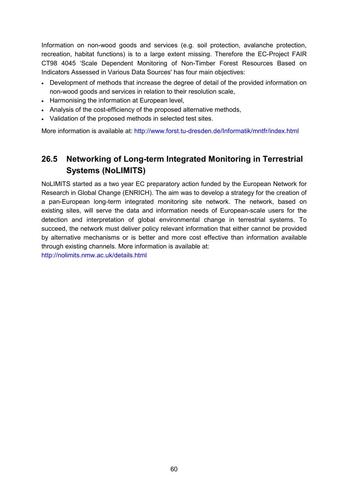Information on non-wood goods and services (e.g. soil protection, avalanche protection, recreation, habitat functions) is to a large extent missing. Therefore the EC-Project FAIR CT98 4045 'Scale Dependent Monitoring of Non-Timber Forest Resources Based on Indicators Assessed in Various Data Sources' has four main objectives:

- Development of methods that increase the degree of detail of the provided information on non-wood goods and services in relation to their resolution scale,
- Harmonising the information at European level.
- Analysis of the cost-efficiency of the proposed alternative methods,
- Validation of the proposed methods in selected test sites.

More information is available at: http://www.forst.tu-dresden.de/Informatik/mntfr/index.html

### <span id="page-59-0"></span>**26.5 Networking of Long-term Integrated Monitoring in Terrestrial Systems (NoLIMITS)**

NoLIMITS started as a two year EC preparatory action funded by the European Network for Research in Global Change (ENRICH). The aim was to develop a strategy for the creation of a pan-European long-term integrated monitoring site network. The network, based on existing sites, will serve the data and information needs of European-scale users for the detection and interpretation of global environmental change in terrestrial systems. To succeed, the network must deliver policy relevant information that either cannot be provided by alternative mechanisms or is better and more cost effective than information available through existing channels. More information is available at:

http://nolimits.nmw.ac.uk/details.html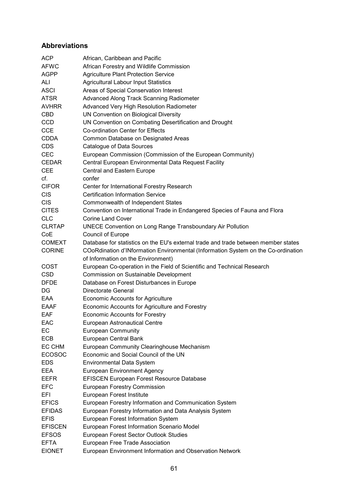### <span id="page-60-0"></span>**Abbreviations**

| <b>ACP</b>     | African, Caribbean and Pacific                                                     |
|----------------|------------------------------------------------------------------------------------|
| <b>AFWC</b>    | African Forestry and Wildlife Commission                                           |
| <b>AGPP</b>    | <b>Agriculture Plant Protection Service</b>                                        |
| ALI            | <b>Agricultural Labour Input Statistics</b>                                        |
| <b>ASCI</b>    | Areas of Special Conservation Interest                                             |
| <b>ATSR</b>    | Advanced Along Track Scanning Radiometer                                           |
| <b>AVHRR</b>   | <b>Advanced Very High Resolution Radiometer</b>                                    |
| <b>CBD</b>     | UN Convention on Biological Diversity                                              |
| <b>CCD</b>     | UN Convention on Combating Desertification and Drought                             |
| <b>CCE</b>     | Co-ordination Center for Effects                                                   |
| <b>CDDA</b>    | Common Database on Designated Areas                                                |
| <b>CDS</b>     |                                                                                    |
|                | Catalogue of Data Sources                                                          |
| <b>CEC</b>     | European Commission (Commission of the European Community)                         |
| <b>CEDAR</b>   | Central European Environmental Data Request Facility                               |
| <b>CEE</b>     | Central and Eastern Europe                                                         |
| cf.            | confer                                                                             |
| <b>CIFOR</b>   | Center for International Forestry Research                                         |
| <b>CIS</b>     | <b>Certification Information Service</b>                                           |
| <b>CIS</b>     | Commonwealth of Independent States                                                 |
| <b>CITES</b>   | Convention on International Trade in Endangered Species of Fauna and Flora         |
| <b>CLC</b>     | Corine Land Cover                                                                  |
| <b>CLRTAP</b>  | <b>UNECE Convention on Long Range Transboundary Air Pollution</b>                  |
| CoE            | Council of Europe                                                                  |
| <b>COMEXT</b>  | Database for statistics on the EU's external trade and trade between member states |
| <b>CORINE</b>  | COoRdination d'INformation Environmental (Information System on the Co-ordination  |
|                | of Information on the Environment)                                                 |
| <b>COST</b>    | European Co-operation in the Field of Scientific and Technical Research            |
| <b>CSD</b>     | Commission on Sustainable Development                                              |
| <b>DFDE</b>    | Database on Forest Disturbances in Europe                                          |
| DG             | Directorate General                                                                |
| <b>EAA</b>     | <b>Economic Accounts for Agriculture</b>                                           |
| <b>EAAF</b>    | Economic Accounts for Agriculture and Forestry                                     |
| EAF            | <b>Economic Accounts for Forestry</b>                                              |
| EAC            | European Astronautical Centre                                                      |
| EC             | <b>European Community</b>                                                          |
| <b>ECB</b>     | European Central Bank                                                              |
| EC CHM         | European Community Clearinghouse Mechanism                                         |
| <b>ECOSOC</b>  | Economic and Social Council of the UN                                              |
| <b>EDS</b>     | <b>Environmental Data System</b>                                                   |
| EEA.           | <b>European Environment Agency</b>                                                 |
| <b>EEFR</b>    | EFISCEN European Forest Resource Database                                          |
| <b>EFC</b>     | <b>European Forestry Commission</b>                                                |
| EFI            | <b>European Forest Institute</b>                                                   |
| <b>EFICS</b>   | European Forestry Information and Communication System                             |
| <b>EFIDAS</b>  | European Forestry Information and Data Analysis System                             |
| <b>EFIS</b>    |                                                                                    |
| <b>EFISCEN</b> | European Forest Information System                                                 |
|                | European Forest Information Scenario Model                                         |
| <b>EFSOS</b>   | European Forest Sector Outlook Studies                                             |
| <b>EFTA</b>    | European Free Trade Association                                                    |
| <b>EIONET</b>  | European Environment Information and Observation Network                           |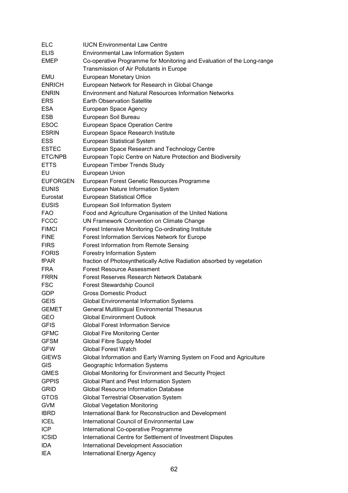| ELC                         | <b>IUCN Environmental Law Centre</b>                                                                        |
|-----------------------------|-------------------------------------------------------------------------------------------------------------|
| <b>ELIS</b>                 | Environmental Law Information System                                                                        |
| <b>EMEP</b>                 | Co-operative Programme for Monitoring and Evaluation of the Long-range                                      |
|                             | Transmission of Air Pollutants in Europe                                                                    |
| <b>EMU</b>                  | European Monetary Union                                                                                     |
| <b>ENRICH</b>               | European Network for Research in Global Change                                                              |
| <b>ENRIN</b>                | <b>Environment and Natural Resources Information Networks</b>                                               |
| <b>ERS</b>                  | <b>Earth Observation Satellite</b>                                                                          |
| <b>ESA</b>                  | European Space Agency                                                                                       |
| <b>ESB</b>                  | European Soil Bureau                                                                                        |
| <b>ESOC</b>                 | European Space Operation Centre                                                                             |
| <b>ESRIN</b>                | European Space Research Institute                                                                           |
| <b>ESS</b>                  | European Statistical System                                                                                 |
| <b>ESTEC</b>                | European Space Research and Technology Centre                                                               |
| ETC/NPB                     | European Topic Centre on Nature Protection and Biodiversity                                                 |
| <b>ETTS</b>                 | European Timber Trends Study                                                                                |
| EU                          | European Union                                                                                              |
| <b>EUFORGEN</b>             | European Forest Genetic Resources Programme                                                                 |
| <b>EUNIS</b>                | European Nature Information System                                                                          |
| Eurostat                    | European Statistical Office                                                                                 |
| <b>EUSIS</b>                | European Soil Information System                                                                            |
| <b>FAO</b>                  | Food and Agriculture Organisation of the United Nations                                                     |
| <b>FCCC</b>                 | UN Framework Convention on Climate Change                                                                   |
| <b>FIMCI</b>                | Forest Intensive Monitoring Co-ordinating Institute                                                         |
| <b>FINE</b>                 | Forest Information Services Network for Europe                                                              |
| <b>FIRS</b>                 | Forest Information from Remote Sensing                                                                      |
|                             |                                                                                                             |
| <b>FORIS</b><br><b>fPAR</b> | <b>Forestry Information System</b>                                                                          |
|                             | fraction of Photosynthetically Active Radiation absorbed by vegetation<br><b>Forest Resource Assessment</b> |
| <b>FRA</b>                  | Forest Reserves Research Network Databank                                                                   |
| FRRN                        |                                                                                                             |
| <b>FSC</b>                  | Forest Stewardship Council                                                                                  |
| GDP                         | <b>Gross Domestic Product</b>                                                                               |
| <b>GEIS</b>                 | <b>Global Environmental Information Systems</b>                                                             |
| <b>GEMET</b>                | <b>General Multilingual Environmental Thesaurus</b>                                                         |
| GEO                         | <b>Global Environment Outlook</b>                                                                           |
| <b>GFIS</b>                 | <b>Global Forest Information Service</b>                                                                    |
| <b>GFMC</b>                 | <b>Global Fire Monitoring Center</b>                                                                        |
| <b>GFSM</b>                 | <b>Global Fibre Supply Model</b>                                                                            |
| <b>GFW</b>                  | <b>Global Forest Watch</b>                                                                                  |
| <b>GIEWS</b>                | Global Information and Early Warning System on Food and Agriculture                                         |
| <b>GIS</b>                  | Geographic Information Systems                                                                              |
| <b>GMES</b>                 | Global Monitoring for Environment and Security Project                                                      |
| <b>GPPIS</b>                | Global Plant and Pest Information System                                                                    |
| <b>GRID</b>                 | <b>Global Resource Information Database</b>                                                                 |
| <b>GTOS</b>                 | Global Terrestrial Observation System                                                                       |
| <b>GVM</b>                  | <b>Global Vegetation Monitoring</b>                                                                         |
| <b>IBRD</b>                 | International Bank for Reconstruction and Development                                                       |
| <b>ICEL</b>                 | International Council of Environmental Law                                                                  |
| ICP                         | International Co-operative Programme                                                                        |
| <b>ICSID</b>                | International Centre for Settlement of Investment Disputes                                                  |
| <b>IDA</b>                  | International Development Association                                                                       |
| IEA                         | <b>International Energy Agency</b>                                                                          |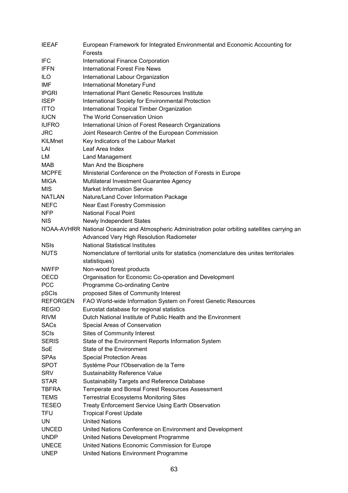| <b>IEEAF</b>                | European Framework for Integrated Environmental and Economic Accounting for                      |
|-----------------------------|--------------------------------------------------------------------------------------------------|
|                             | <b>Forests</b>                                                                                   |
| <b>IFC</b>                  | International Finance Corporation                                                                |
| <b>IFFN</b>                 | <b>International Forest Fire News</b>                                                            |
| <b>ILO</b>                  | International Labour Organization                                                                |
| <b>IMF</b>                  | <b>International Monetary Fund</b>                                                               |
| <b>IPGRI</b>                | International Plant Genetic Resources Institute                                                  |
| <b>ISEP</b>                 | International Society for Environmental Protection                                               |
| <b>ITTO</b>                 | International Tropical Timber Organization                                                       |
| <b>IUCN</b>                 | The World Conservation Union                                                                     |
| <b>IUFRO</b>                | International Union of Forest Research Organizations                                             |
| <b>JRC</b>                  | Joint Research Centre of the European Commission                                                 |
| KILMnet                     | Key Indicators of the Labour Market                                                              |
| LAI                         | Leaf Area Index                                                                                  |
| LM                          | Land Management                                                                                  |
| <b>MAB</b>                  | Man And the Biosphere                                                                            |
| <b>MCPFE</b>                | Ministerial Conference on the Protection of Forests in Europe                                    |
| <b>MIGA</b>                 | Multilateral Investment Guarantee Agency                                                         |
| <b>MIS</b>                  | <b>Market Information Service</b>                                                                |
| <b>NATLAN</b>               | Nature/Land Cover Information Package                                                            |
| <b>NEFC</b>                 | <b>Near East Forestry Commission</b>                                                             |
| <b>NFP</b>                  | <b>National Focal Point</b>                                                                      |
| <b>NIS</b>                  | <b>Newly Independent States</b>                                                                  |
|                             | NOAA-AVHRR National Oceanic and Atmospheric Administration polar orbiting satellites carrying an |
|                             | Advanced Very High Resolution Radiometer                                                         |
| <b>NSIs</b>                 | <b>National Statistical Institutes</b>                                                           |
|                             |                                                                                                  |
|                             |                                                                                                  |
| <b>NUTS</b>                 | Nomenclature of territorial units for statistics (nomenclature des unites territoriales          |
|                             | statistiques)                                                                                    |
| <b>NWFP</b>                 | Non-wood forest products                                                                         |
| <b>OECD</b>                 | Organisation for Economic Co-operation and Development                                           |
| <b>PCC</b>                  | Programme Co-ordinating Centre                                                                   |
| pSCIs                       | proposed Sites of Community Interest                                                             |
| <b>REFORGEN</b>             | FAO World-wide Information System on Forest Genetic Resources                                    |
| <b>REGIO</b>                | Eurostat database for regional statistics                                                        |
| <b>RIVM</b>                 | Dutch National Institute of Public Health and the Environment                                    |
| <b>SACs</b>                 | Special Areas of Conservation                                                                    |
| <b>SCIs</b>                 | Sites of Community Interest                                                                      |
| <b>SERIS</b>                | State of the Environment Reports Information System                                              |
| SoE                         | State of the Environment                                                                         |
| <b>SPAs</b>                 | <b>Special Protection Areas</b>                                                                  |
| <b>SPOT</b>                 | Systéme Pour l'Observation de la Terre                                                           |
| <b>SRV</b>                  | <b>Sustainability Reference Value</b>                                                            |
| <b>STAR</b>                 | Sustainability Targets and Reference Database                                                    |
| TBFRA                       | Temperate and Boreal Forest Resources Assessment                                                 |
| <b>TEMS</b>                 | <b>Terrestrial Ecosystems Monitoring Sites</b>                                                   |
| <b>TESEO</b>                | Treaty Enforcement Service Using Earth Observation                                               |
| <b>TFU</b>                  | <b>Tropical Forest Update</b>                                                                    |
| <b>UN</b>                   | <b>United Nations</b>                                                                            |
| <b>UNCED</b>                | United Nations Conference on Environment and Development                                         |
| <b>UNDP</b>                 | United Nations Development Programme                                                             |
| <b>UNECE</b><br><b>UNEP</b> | United Nations Economic Commission for Europe<br>United Nations Environment Programme            |